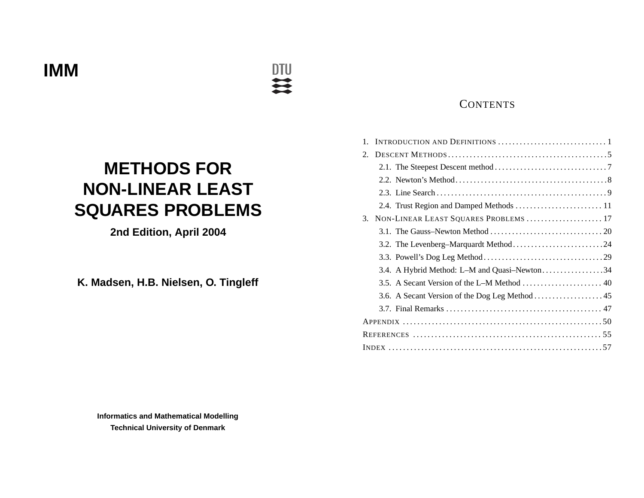**METHODS FOR NON-LINEAR LEASTSQUARES PROBLEMS**

**DTU**  $\mathbf{u}$ 

**2nd Edition, April 2004**

**K. Madsen, H.B. Nielsen, O. Tingleff**

# **CONTENTS**

| $1_{\cdot}$ |                                              |  |
|-------------|----------------------------------------------|--|
| 2.          |                                              |  |
|             |                                              |  |
|             |                                              |  |
|             |                                              |  |
|             | 2.4. Trust Region and Damped Methods  11     |  |
| 3.          | NON-LINEAR LEAST SQUARES PROBLEMS  17        |  |
|             |                                              |  |
|             |                                              |  |
|             |                                              |  |
|             | 3.4. A Hybrid Method: L-M and Quasi-Newton34 |  |
|             |                                              |  |
|             |                                              |  |
|             |                                              |  |
|             |                                              |  |
|             |                                              |  |
|             |                                              |  |

**Informatics and Mathematical Modelling Technical University of Denmark**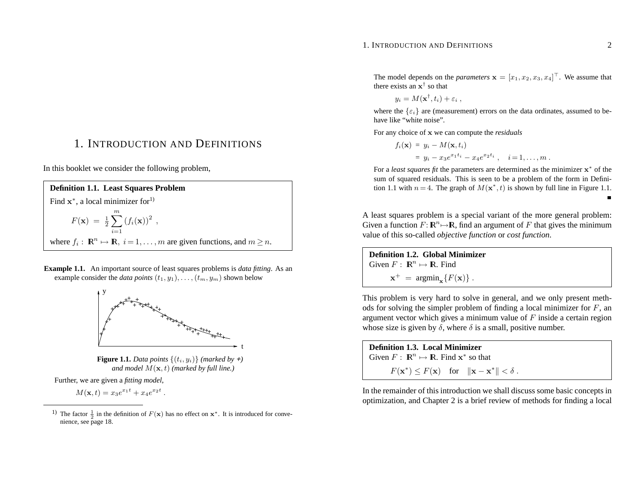#### 1. INTRODUCTION AND DEFINITIONS 2

 $\blacksquare$ 

The model depends on the *parameters*  $\mathbf{x} = [x_1, x_2, x_3, x_4]^\top$ . We assume that there exists an **<sup>x</sup>**† so that

$$
y_i = M(\mathbf{x}^\dagger, t_i) + \varepsilon_i ,
$$

where the  $\{\varepsilon_i\}$  are (measurement) errors on the data ordinates, assumed to behave like "white noise".

For any choice of **<sup>x</sup>** we can compute the *residuals*

$$
f_i(\mathbf{x}) = y_i - M(\mathbf{x}, t_i)
$$
  
=  $y_i - x_3 e^{x_1 t_i} - x_4 e^{x_2 t_i}$ ,  $i = 1, ..., m$ .

For <sup>a</sup> *least squares fit* the parameters are determined as the minimizer **<sup>x</sup>**<sup>∗</sup> of the sum of squared residuals. This is seen to be <sup>a</sup> problem of the form in Definition 1.1 with  $n = 4$ . The graph of  $M(\mathbf{x}^*, t)$  is shown by full line in Figure 1.1.

A least squares problem is <sup>a</sup> special variant of the more general problem: Given a function  $F: \mathbb{R}^n \mapsto \mathbb{R}$ , find an argument of F that gives the minimum value of this so-called *objective function* or *cost function*.

**Definition 1.2. Global Minimizer**Given  $F: \mathbb{R}^n \mapsto \mathbb{R}$ . Find  $\mathbf{x}^+$  =  $\operatorname{argmin}_{\mathbf{x}} \{ F(\mathbf{x}) \}$ .

This problem is very hard to solve in general, and we only presen<sup>t</sup> methods for solving the simpler problem of finding <sup>a</sup> local minimizer for *F*, an argumen<sup>t</sup> vector which gives <sup>a</sup> minimum value of *F* inside <sup>a</sup> certain region whose size is given by  $\delta$ , where  $\delta$  is a small, positive number.

**Definition 1.3. Local Minimizer** Given  $F: \mathbb{R}^n \mapsto \mathbb{R}$ . Find  $\mathbf{x}^*$  so that  $F(\mathbf{x}^*) \leq F(\mathbf{x})$  for  $\|\mathbf{x} - \mathbf{x}^*\| < \delta$ .

In the remainder of this introduction we shall discuss some basic concepts in optimization, and Chapter 2 is <sup>a</sup> brief review of methods for finding <sup>a</sup> local

1. INTRODUCTION ANDDEFINITIONS

In this booklet we consider the following problem,

**Definition 1.1. Least Squares Problem** Find **x**<sup>∗</sup>, a local minimizer for<sup>1)</sup>  $F(\mathbf{x}) = \frac{1}{2} \sum^{m} (f_i(\mathbf{x}))^2$ *i*=1where  $f_i: \mathbb{R}^n \mapsto \mathbb{R}, i = 1, \ldots, m$  are given functions, and  $m \geq n$ .

**Example 1.1.** An important source of least squares problems is *data fitting*. As an example consider the *data points*  $(t_1, y_1), \ldots, (t_m, y_m)$  shown below



**Figure 1.1.** *Data points*  $\{(t_i, y_i)\}$  *(marked by +) and model <sup>M</sup>*(**<sup>x</sup>***, <sup>t</sup>*) *(marked by full line.)*

Further, we are given <sup>a</sup> *fitting model*,

$$
M(\mathbf{x},t) = x_3 e^{x_1 t} + x_4 e^{x_2 t}.
$$

<sup>&</sup>lt;sup>1</sup>) The factor  $\frac{1}{2}$  in the definition of  $F(\mathbf{x})$  has no effect on  $\mathbf{x}^*$ . It is introduced for convenience, see page 18.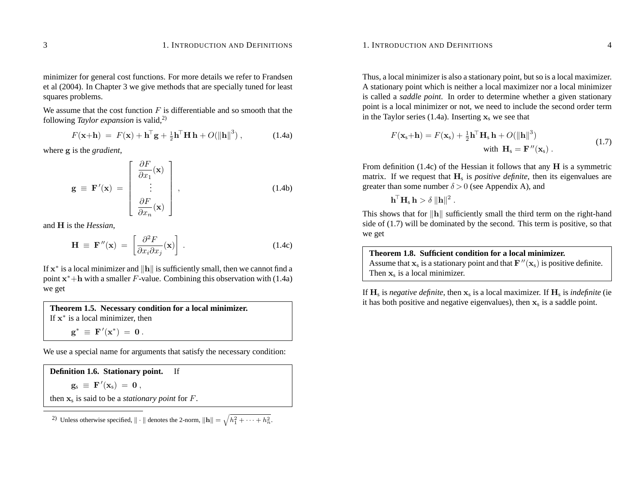minimizer for general cost functions. For more details we refer to Frandsen et al (2004). In Chapter 3 we give methods that are specially tuned for least squares problems.

We assume that the cost function *F* is differentiable and so smooth that the following *Taylor expansion* is valid,2)

$$
F(\mathbf{x} + \mathbf{h}) = F(\mathbf{x}) + \mathbf{h}^{\mathsf{T}} \mathbf{g} + \frac{1}{2} \mathbf{h}^{\mathsf{T}} \mathbf{H} \mathbf{h} + O(||\mathbf{h}||^3) , \qquad (1.4a)
$$

where **g** is the *gradient*,

$$
\mathbf{g} \equiv \mathbf{F}'(\mathbf{x}) = \begin{bmatrix} \frac{\partial F}{\partial x_1}(\mathbf{x}) \\ \vdots \\ \frac{\partial F}{\partial x_n}(\mathbf{x}) \end{bmatrix},
$$
(1.4b)

and **H** is the *Hessian*,

$$
\mathbf{H} \equiv \mathbf{F}''(\mathbf{x}) = \left[ \frac{\partial^2 F}{\partial x_i \partial x_j}(\mathbf{x}) \right]. \tag{1.4c}
$$

**If x**<sup>∗</sup> is a local minimizer and  $\|\mathbf{h}\|$  is sufficiently small, then we cannot find a point **<sup>x</sup>**<sup>∗</sup>+**h** with <sup>a</sup> smaller *F*-value. Combining this observation with (1.4a) we get

**Theorem 1.5. Necessary condition for <sup>a</sup> local minimizer.** If **<sup>x</sup>**<sup>∗</sup> is <sup>a</sup> local minimizer, then  $g^* \equiv F'(x^*) = 0$ .

We use <sup>a</sup> special name for arguments that satisfy the necessary condition:

**Definition 1.6. Stationary point.** If  $\mathbf{g}_s \equiv \mathbf{F}'(\mathbf{x}_s) = \mathbf{0}$ , then **x**<sup>s</sup> is said to be <sup>a</sup> *stationary point* for *F*.

<sup>2)</sup> Unless otherwise specified,  $\|\cdot\|$  denotes the 2-norm,  $\|\mathbf{h}\| = \sqrt{h_1^2 + \cdots + h_n^2}$ .

#### 1. INTRODUCTION AND DEFINITIONS 4

Thus, <sup>a</sup> local minimizer is also <sup>a</sup> stationary point, but so is <sup>a</sup> local maximizer. A stationary point which is neither <sup>a</sup> local maximizer nor <sup>a</sup> local minimizer is called <sup>a</sup> *saddle point*. In order to determine whether <sup>a</sup> given stationary point is <sup>a</sup> local minimizer or not, we need to include the second order term in the Taylor series (1.4a). Inserting  $\mathbf{x}_s$  we see that

$$
F(\mathbf{x}_s + \mathbf{h}) = F(\mathbf{x}_s) + \frac{1}{2}\mathbf{h}^\top \mathbf{H}_s \mathbf{h} + O(||\mathbf{h}||^3)
$$
  
with  $\mathbf{H}_s = \mathbf{F}''(\mathbf{x}_s)$ . (1.7)

From definition (1.4c) of the Hessian it follows that any **H** is <sup>a</sup> symmetric matrix. If we request that  $H_s$  is *positive definite*, then its eigenvalues are greater than some number  $\delta$  > 0 (see Appendix A), and

 $\mathbf{h}^\top \mathbf{H}_\mathrm{s} \, \mathbf{h} > \delta \, \|\mathbf{h}\|^2$  .

This shows that for  $\|\mathbf{h}\|$  sufficiently small the third term on the right-hand side of (1.7) will be dominated by the second. This term is positive, so that we get

**Theorem 1.8. Sufficient condition for <sup>a</sup> local minimizer.** Assume that  $\mathbf{x}_s$  is a stationary point and that  $\mathbf{F}''(\mathbf{x}_s)$  is positive definite. Then **x**<sup>s</sup> is <sup>a</sup> local minimizer.

If **H**<sup>s</sup> is *negative definite*, then **<sup>x</sup>**<sup>s</sup> is <sup>a</sup> local maximizer. If **H**<sup>s</sup> is *indefinite* (ie it has both positive and negative eigenvalues), then  $\mathbf{x}_s$  is a saddle point.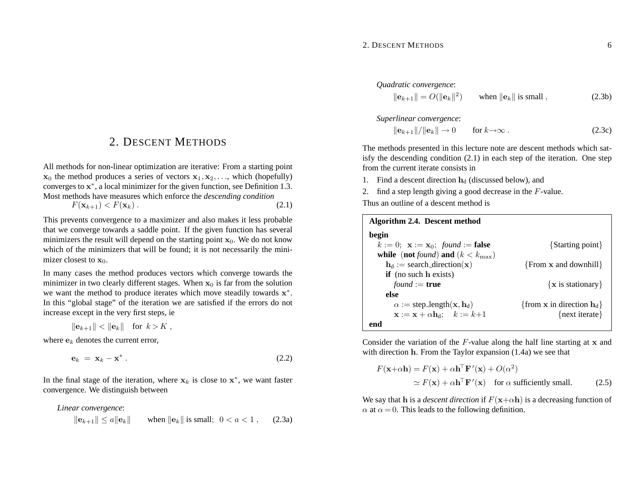#### 2. DESCENT METHODS 6

## 2. DESCENT METHODS

All methods for non-linear optimization are iterative: From <sup>a</sup> starting point  $\mathbf{x}_0$  the method produces a series of vectors  $\mathbf{x}_1, \mathbf{x}_2, \ldots$ , which (hopefully) converges to **<sup>x</sup>**<sup>∗</sup>, <sup>a</sup> local minimizer for the given function, see Definition 1.3. Most methods have measures which enforce the *descending condition*

$$
F(\mathbf{x}_{k+1}) < F(\mathbf{x}_k) \tag{2.1}
$$

This prevents convergence to <sup>a</sup> maximizer and also makes it less probable that we converge towards <sup>a</sup> saddle point. If the given function has several minimizers the result will depend on the starting point  $\mathbf{x}_0$ . We do not know which of the minimizers that will be found; it is not necessarily the minimizer closest to  $\mathbf{x}_0$ .

In many cases the method produces vectors which converge towards the minimizer in two clearly different stages. When  $x_0$  is far from the solution we want the method to produce iterates which move steadily towards **<sup>x</sup>**<sup>∗</sup>. In this "global stage" of the iteration we are satisfied if the errors do not increase excep<sup>t</sup> in the very first steps, ie

$$
\|\mathbf{e}_{k+1}\| < \|\mathbf{e}_k\| \quad \text{for } k > K \;,
$$

where **e***k* denotes the current error,

$$
\mathbf{e}_k = \mathbf{x}_k - \mathbf{x}^* \,. \tag{2.2}
$$

In the final stage of the iteration, where  $x_k$  is close to  $x^*$ , we want faster convergence. We distinguish between

*Linear convergence*:

$$
||\mathbf{e}_{k+1}|| \le a||\mathbf{e}_k||
$$
 when  $||\mathbf{e}_k||$  is small;  $0 < a < 1$ , (2.3a)

*Quadratic convergence*:

$$
\|\mathbf{e}_{k+1}\| = O(\|\mathbf{e}_k\|^2) \quad \text{when } \|\mathbf{e}_k\| \text{ is small }, \tag{2.3b}
$$

*Superlinear convergence*:

$$
\|\mathbf{e}_{k+1}\|/\|\mathbf{e}_k\| \to 0 \quad \text{for } k \to \infty \,.
$$
 (2.3c)

The methods presented in this lecture note are descent methods which satisfy the descending condition (2.1) in each step of the iteration. One step from the current iterate consists in

- 1. Find a descent direction  $h_d$  (discussed below), and
- 2. find <sup>a</sup> step length giving <sup>a</sup> good decrease in the *F*-value.

Thus an outline of <sup>a</sup> descent method is

| Algorithm 2.4. Descent method                                    |                                                |
|------------------------------------------------------------------|------------------------------------------------|
| begin                                                            |                                                |
| $k := 0$ ; $\mathbf{x} := \mathbf{x}_0$ ; found := false         | {Starting point}                               |
| while (not found) and $(k < k_{\text{max}})$                     |                                                |
| $\mathbf{h}_{d} :=$ search_direction(x)                          | $\{From x and downhill\}$                      |
| $if$ (no such h exists)                                          |                                                |
| <i>found</i> := <b>true</b>                                      | $\{x \text{ is stationary}\}\$                 |
| else                                                             |                                                |
| $\alpha := \text{step_length}(\mathbf{x}, \mathbf{h}_d)$         | {from <b>x</b> in direction $\mathbf{h}_{d}$ } |
| $\mathbf{x} := \mathbf{x} + \alpha \mathbf{h}_d; \quad k := k+1$ | {next iterate}                                 |
| end                                                              |                                                |

Consider the variation of the *F*-value along the half line starting at **<sup>x</sup>** and with direction **h**. From the Taylor expansion (1.4a) we see that

$$
F(\mathbf{x}+\alpha \mathbf{h}) = F(\mathbf{x}) + \alpha \mathbf{h}^{\top} \mathbf{F}'(\mathbf{x}) + O(\alpha^2)
$$
  
\n
$$
\simeq F(\mathbf{x}) + \alpha \mathbf{h}^{\top} \mathbf{F}'(\mathbf{x}) \quad \text{for } \alpha \text{ sufficiently small.} \tag{2.5}
$$

We say that **h** is a *descent direction* if  $F(x+\alpha h)$  is a decreasing function of  $\alpha$  at  $\alpha = 0$ . This leads to the following definition.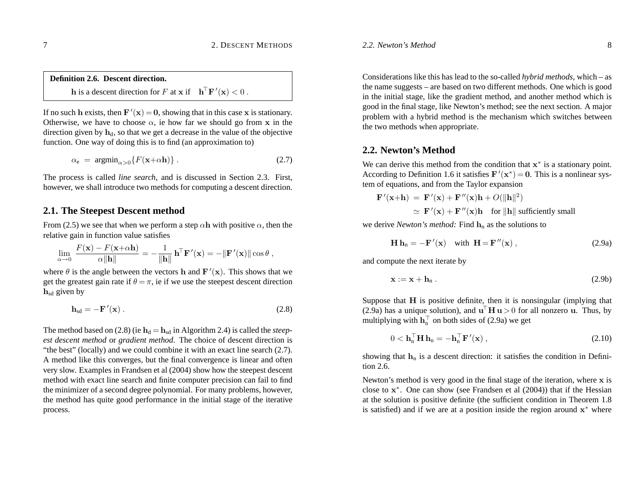**Definition 2.6. Descent direction. h** is a descent direction for *F* at **x** if  $\mathbf{h}^\top \mathbf{F}'(\mathbf{x}) < 0$ .

If no such **h** exists, then  $\mathbf{F}'(\mathbf{x}) = \mathbf{0}$ , showing that in this case **x** is stationary. Otherwise, we have to choose  $\alpha$ , ie how far we should go from **x** in the direction given by  $\mathbf{h}_{d}$ , so that we get a decrease in the value of the objective function. One way of doing this is to find (an approximation to)

$$
\alpha_{\rm e} = \operatorname{argmin}_{\alpha > 0} \{ F(\mathbf{x} + \alpha \mathbf{h}) \} \,. \tag{2.7}
$$

The process is called *line search*, and is discussed in Section 2.3. First, however, we shall introduce two methods for computing <sup>a</sup> descent direction.

## **2.1. The Steepest Descent method**

From (2.5) we see that when we perform a step  $\alpha$ **h** with positive  $\alpha$ , then the relative gain in function value satisfies

$$
\lim_{\alpha \to 0} \, \frac{F(\mathbf{x}) - F(\mathbf{x} + \alpha \mathbf{h})}{\alpha \|\mathbf{h}\|} = -\frac{1}{\|\mathbf{h}\|} \, \mathbf{h}^\top \mathbf{F}'(\mathbf{x}) = -\|\mathbf{F}'(\mathbf{x})\| \cos \theta \;,
$$

where  $\theta$  is the angle between the vectors **h** and  $\mathbf{F}'(\mathbf{x})$ . This shows that we get the greatest gain rate if  $\theta = \pi$ , ie if we use the steepest descent direction **h**sd given by

$$
\mathbf{h}_{sd} = -\mathbf{F}'(\mathbf{x})\,. \tag{2.8}
$$

The method based on  $(2.8)$  (ie  $\mathbf{h}_{d} = \mathbf{h}_{sd}$  in Algorithm 2.4) is called the *steepest descent method* or *gradient method*. The choice of descent direction is "the best" (locally) and we could combine it with an exact line search (2.7). A method like this converges, but the final convergence is linear and often very slow. Examples in Frandsen et al (2004) show how the steepest descent method with exact line search and finite computer precision can fail to find the minimizer of <sup>a</sup> second degree polynomial. For many problems, however, the method has quite good performance in the initial stage of the iterative process.

Considerations like this has lead to the so-called *hybrid methods*, which – as the name suggests – are based on two different methods. One which is good in the initial stage, like the gradient method, and another method which is good in the final stage, like Newton's method; see the next section. A major problem with <sup>a</sup> hybrid method is the mechanism which switches between the two methods when appropriate.

## **2.2. Newton's Method**

We can derive this method from the condition that **<sup>x</sup>**<sup>∗</sup> is <sup>a</sup> stationary point. According to Definition 1.6 it satisfies  $\mathbf{F}'(\mathbf{x}^*) = \mathbf{0}$ . This is a nonlinear system of equations, and from the Taylor expansion

$$
\mathbf{F}'(\mathbf{x}+\mathbf{h}) = \mathbf{F}'(\mathbf{x}) + \mathbf{F}''(\mathbf{x})\mathbf{h} + O(||\mathbf{h}||^2)
$$
  
\n
$$
\simeq \mathbf{F}'(\mathbf{x}) + \mathbf{F}''(\mathbf{x})\mathbf{h} \quad \text{for } ||\mathbf{h}|| \text{ sufficiently small}
$$

we derive *Newton's method:* Find **h**<sup>n</sup> as the solutions to

$$
\mathbf{H}\,\mathbf{h}_n = -\mathbf{F}'(\mathbf{x}) \quad \text{with } \mathbf{H} = \mathbf{F}''(\mathbf{x}) \,, \tag{2.9a}
$$

and compute the next iterate by

$$
\mathbf{x} := \mathbf{x} + \mathbf{h}_n \tag{2.9b}
$$

Suppose that  $H$  is positive definite, then it is nonsingular (implying that (2.9a) has a unique solution), and  $\mathbf{u}^\top \mathbf{H} \mathbf{u} > 0$  for all nonzero **u**. Thus, by multiplying with  $\mathbf{h}_n^{\top}$  on both sides of (2.9a) we get

$$
0 < \mathbf{h}_{\mathbf{n}}^{\top} \mathbf{H} \, \mathbf{h}_{\mathbf{n}} = -\mathbf{h}_{\mathbf{n}}^{\top} \mathbf{F}'(\mathbf{x}) \,, \tag{2.10}
$$

showing that  $\mathbf{h}_n$  is a descent direction: it satisfies the condition in Definition 2.6.

Newton's method is very good in the final stage of the iteration, where **<sup>x</sup>** is close to **<sup>x</sup>**<sup>∗</sup>. One can show (see Frandsen et al (2004)) that if the Hessian at the solution is positive definite (the sufficient condition in Theorem 1.8 is satisfied) and if we are at <sup>a</sup> position inside the region around **<sup>x</sup>**<sup>∗</sup> where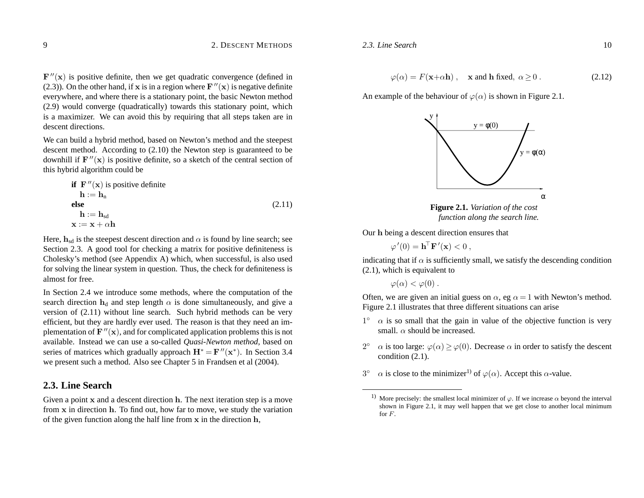$\mathbf{F}^{\prime\prime}(\mathbf{x})$  is positive definite, then we get quadratic convergence (defined in (2.3)). On the other hand, if **x** is in a region where  $\mathbf{F}''(\mathbf{x})$  is negative definite everywhere, and where there is <sup>a</sup> stationary point, the basic Newton method (2.9) would converge (quadratically) towards this stationary point, which is <sup>a</sup> maximizer. We can avoid this by requiring that all steps taken are in descent directions.

We can build <sup>a</sup> hybrid method, based on Newton's method and the steepest descent method. According to (2.10) the Newton step is guaranteed to be downhill if  $\mathbf{F}''(\mathbf{x})$  is positive definite, so a sketch of the central section of this hybrid algorithm could be

**if** 
$$
F''(x)
$$
 is positive definite

\n $\mathbf{h} := \mathbf{h}_n$ 

\n**else**

\n $\mathbf{h} := \mathbf{h}_{sd}$ 

\n $\mathbf{x} := \mathbf{x} + \alpha \mathbf{h}$ 

\n(2.11)

Here,  $\mathbf{h}_{sd}$  is the steepest descent direction and  $\alpha$  is found by line search; see Section 2.3. A good tool for checking <sup>a</sup> matrix for positive definiteness is Cholesky's method (see Appendix A) which, when successful, is also used for solving the linear system in question. Thus, the check for definiteness is almost for free.

In Section 2.4 we introduce some methods, where the computation of the search direction  $h_d$  and step length  $\alpha$  is done simultaneously, and give a version of (2.11) without line search. Such hybrid methods can be very efficient, but they are hardly ever used. The reason is that they need an implementation of  $\mathbf{F}^{\prime\prime}(\mathbf{x})$ , and for complicated application problems this is not available. Instead we can use <sup>a</sup> so-called *Quasi-Newton method,* based on series of matrices which gradually approach  $\mathbf{H}^* = \mathbf{F}''(\mathbf{x}^*)$ . In Section 3.4 we presen<sup>t</sup> such <sup>a</sup> method. Also see Chapter 5 in Frandsen et al (2004).

## **2.3. Line Search**

Given <sup>a</sup> point **<sup>x</sup>** and <sup>a</sup> descent direction **h**. The next iteration step is <sup>a</sup> move from **<sup>x</sup>** in direction **h**. To find out, how far to move, we study the variation of the given function along the half line from **<sup>x</sup>** in the direction **h**,

*2.3. Line Search*

$$
\varphi(\alpha) = F(\mathbf{x} + \alpha \mathbf{h}), \quad \mathbf{x} \text{ and } \mathbf{h} \text{ fixed}, \ \alpha \ge 0 \,. \tag{2.12}
$$

An example of the behaviour of  $\varphi(\alpha)$  is shown in Figure 2.1.





Our **h** being <sup>a</sup> descent direction ensures that

 $\varphi'(0) = \mathbf{h}^{\top} \mathbf{F}'(\mathbf{x}) < 0$ ,

indicating that if  $\alpha$  is sufficiently small, we satisfy the descending condition (2.1), which is equivalent to

 $\varphi(\alpha) < \varphi(0)$ .

Often, we are given an initial guess on  $\alpha$ , eg  $\alpha = 1$  with Newton's method. Figure 2.1 illustrates that three different situations can arise

- $1° \alpha$  is so small that the gain in value of the objective function is very small.  $\alpha$  should be increased.
- 2<sup>°</sup> *α* is too large:  $\varphi(\alpha) \ge \varphi(0)$ . Decrease  $\alpha$  in order to satisfy the descent condition (2.1).
- $3° \alpha$  is close to the minimizer<sup>1)</sup> of  $\varphi(\alpha)$ . Accept this *α*-value.

<sup>&</sup>lt;sup>1)</sup> More precisely: the smallest local minimizer of  $\varphi$ . If we increase  $\alpha$  beyond the interval shown in Figure 2.1, it may well happen that we ge<sup>t</sup> close to another local minimum for *F*.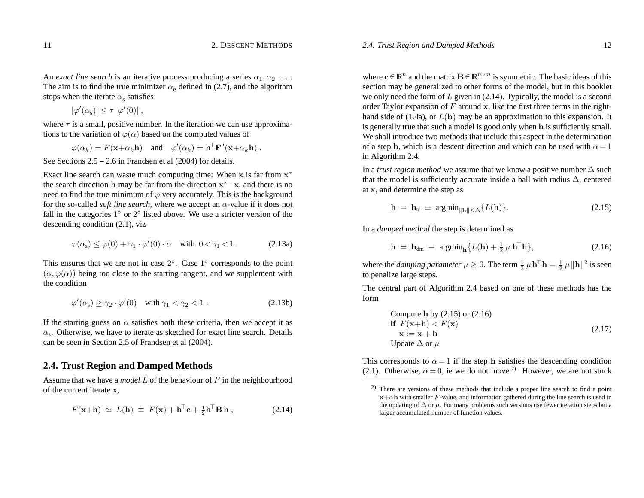An *exact line search* is an iterative process producing a series  $\alpha_1, \alpha_2, \ldots$ . The aim is to find the true minimizer  $\alpha_e$  defined in (2.7), and the algorithm stops when the iterate  $\alpha_{\rm s}$  satisfies

 $|\varphi'(\alpha_{s})| \leq \tau |\varphi'(0)|$ ,

where  $\tau$  is a small, positive number. In the iteration we can use approximations to the variation of  $\varphi(\alpha)$  based on the computed values of

 $\varphi(\alpha_k) = F(\mathbf{x} + \alpha_k \mathbf{h})$  and  $\varphi'(\alpha_k) = \mathbf{h}^\top \mathbf{F}'(\mathbf{x} + \alpha_k \mathbf{h})$ .

See Sections  $2.5 - 2.6$  in Frandsen et al  $(2004)$  for details.

Exact line search can waste much computing time: When **<sup>x</sup>** is far from **<sup>x</sup>**<sup>∗</sup> the search direction **h** may be far from the direction **<sup>x</sup>**<sup>∗</sup>−**x**, and there is no need to find the true minimum of *ϕ* very accurately. This is the background for the so-called *soft line search,* where we accep<sup>t</sup> an *<sup>α</sup>*-value if it does not fall in the categories  $1°$  or  $2°$  listed above. We use a stricter version of the descending condition (2.1), viz

$$
\varphi(\alpha_s) \le \varphi(0) + \gamma_1 \cdot \varphi'(0) \cdot \alpha \quad \text{with } 0 < \gamma_1 < 1. \tag{2.13a}
$$

This ensures that we are not in case  $2^\circ$ . Case  $1^\circ$  corresponds to the point  $(\alpha, \varphi(\alpha))$  being too close to the starting tangent, and we supplement with the condition

$$
\varphi'(\alpha_s) \ge \gamma_2 \cdot \varphi'(0) \quad \text{with } \gamma_1 < \gamma_2 < 1. \tag{2.13b}
$$

If the starting guess on  $\alpha$  satisfies both these criteria, then we accept it as  $\alpha_s$ . Otherwise, we have to iterate as sketched for exact line search. Details can be seen in Section 2.5 of Frandsen et al (2004).

## **2.4. Trust Region and Damped Methods**

Assume that we have <sup>a</sup> *model L* of the behaviour of *F* in the neighbourhood of the current iterate **x**,

$$
F(\mathbf{x} + \mathbf{h}) \simeq L(\mathbf{h}) \equiv F(\mathbf{x}) + \mathbf{h}^{\mathsf{T}} \mathbf{c} + \frac{1}{2} \mathbf{h}^{\mathsf{T}} \mathbf{B} \mathbf{h} \,, \tag{2.14}
$$

where  $\mathbf{c} \in \mathbb{R}^n$  and the matrix  $\mathbf{B} \in \mathbb{R}^{n \times n}$  is symmetric. The basic ideas of this section may be generalized to other forms of the model, but in this booklet we only need the form of *L* given in (2.14). Typically, the model is <sup>a</sup> second order Taylor expansion of *F* around **<sup>x</sup>**, like the first three terms in the righthand side of (1.4a), or  $L(h)$  may be an approximation to this expansion. It is generally true that such <sup>a</sup> model is good only when **h** is sufficiently small. We shall introduce two methods that include this aspec<sup>t</sup> in the determination of a step **h**, which is a descent direction and which can be used with  $\alpha = 1$ in Algorithm 2.4.

In <sup>a</sup> *trust region method* we assume that we know <sup>a</sup> positive number ∆ such that the model is sufficiently accurate inside a ball with radius  $\Delta$ , centered at **<sup>x</sup>**, and determine the step as

$$
\mathbf{h} = \mathbf{h}_{tr} \equiv \operatorname{argmin}_{\|\mathbf{h}\| \le \Delta} \{ L(\mathbf{h}) \}. \tag{2.15}
$$

In <sup>a</sup> *damped method* the step is determined as

$$
\mathbf{h} = \mathbf{h}_{dm} \equiv \operatorname{argmin}_{\mathbf{h}} \{ L(\mathbf{h}) + \frac{1}{2} \mu \, \mathbf{h}^{\top} \mathbf{h} \},\tag{2.16}
$$

where the *damping parameter*  $\mu \geq 0$ . The term  $\frac{1}{2} \mu \mathbf{h}^{\top} \mathbf{h} = \frac{1}{2} \mu \|\mathbf{h}\|^2$  is seen to penalize large steps.

The central par<sup>t</sup> of Algorithm 2.4 based on one of these methods has the form

Compute h by (2.15) or (2.16)  
\nif 
$$
F(\mathbf{x}+\mathbf{h}) < F(\mathbf{x})
$$
  
\n $\mathbf{x} := \mathbf{x} + \mathbf{h}$   
\nUpdate  $\Delta$  or  $\mu$  (2.17)

This corresponds to  $\alpha = 1$  if the step **h** satisfies the descending condition (2.1). Otherwise,  $\alpha = 0$ , ie we do not move.<sup>2)</sup> However, we are not stuck

<sup>2)</sup> There are versions of these methods that include <sup>a</sup> proper line search to find <sup>a</sup> point  $\mathbf{x}+\alpha \mathbf{h}$  with smaller *F*-value, and information gathered during the line search is used in the updating of  $\Delta$  or  $\mu$ . For many problems such versions use fewer iteration steps but a larger accumulated number of function values.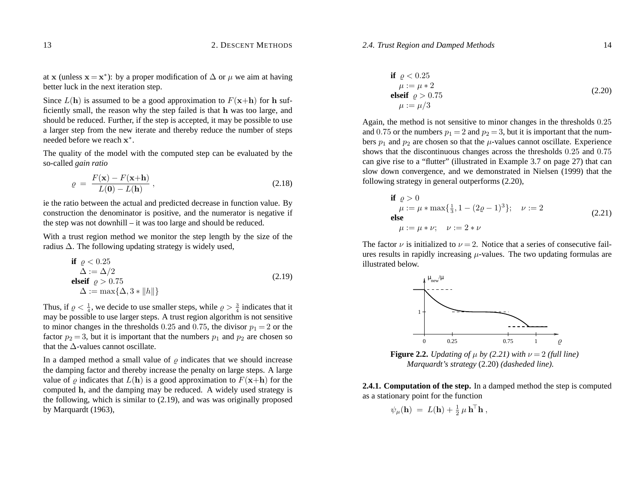#### *2.4. Trust Region and Damped Methods* 14

at **x** (unless **x** = **x**<sup>\*</sup>): by a proper modification of  $\Delta$  or  $\mu$  we aim at having better luck in the next iteration step.

Since  $L(h)$  is assumed to be a good approximation to  $F(\mathbf{x+h})$  for h sufficiently small, the reason why the step failed is that **h** was too large, and should be reduced. Further, if the step is accepted, it may be possible to use <sup>a</sup> larger step from the new iterate and thereby reduce the number of steps needed before we reach**<sup>x</sup>**<sup>∗</sup>.

The quality of the model with the computed step can be evaluated by the so-called *gain ratio*

$$
\varrho = \frac{F(\mathbf{x}) - F(\mathbf{x} + \mathbf{h})}{L(\mathbf{0}) - L(\mathbf{h})},
$$
\n(2.18)

ie the ratio between the actual and predicted decrease in function value. By construction the denominator is positive, and the numerator is negative if the step was not downhill – it was too large and should be reduced.

With <sup>a</sup> trust region method we monitor the step length by the size of the radius ∆. The following updating strategy is widely used,

$$
\begin{aligned}\n\text{if } \varrho < 0.25 \\
\Delta &:= \Delta/2 \\
\text{elseif } \varrho > 0.75 \\
\Delta &:= \max\{\Delta, 3 * \|h\|\}\n\end{aligned} \tag{2.19}
$$

Thus, if  $\rho < \frac{1}{4}$ , we decide to use smaller steps, while  $\rho > \frac{3}{4}$  indicates that it may be possible to use larger steps. A trust region algorithm is not sensitive to minor changes in the thresholds  $0.25$  and  $0.75$ , the divisor  $p_1 = 2$  or the factor  $p_2 = 3$ , but it is important that the numbers  $p_1$  and  $p_2$  are chosen so that the  $\Delta$ -values cannot oscillate.

In a damped method a small value of  $\rho$  indicates that we should increase the damping factor and thereby increase the penalty on large steps. A large value of  $\varrho$  indicates that  $L(\mathbf{h})$  is a good approximation to  $F(\mathbf{x}+\mathbf{h})$  for the computed **h**, and the damping may be reduced. A widely used strategy is the following, which is similar to (2.19), and was was originally proposed by Marquardt (1963),

**if** 
$$
\rho < 0.25
$$
  
\n $\mu := \mu * 2$   
\n**elseif**  $\rho > 0.75$   
\n $\mu := \mu/3$  (2.20)

Again, the method is not sensitive to minor changes in the thresholds 0*.*25 and 0.75 or the numbers  $p_1 = 2$  and  $p_2 = 3$ , but it is important that the numbers  $p_1$  and  $p_2$  are chosen so that the  $\mu$ -values cannot oscillate. Experience shows that the discontinuous changes across the thresholds 0*.*25 and 0*.*75 can give rise to <sup>a</sup> "flutter" (illustrated in Example 3.7 on page 27) that can slow down convergence, and we demonstrated in Nielsen (1999) that the following strategy in general outperforms (2.20),

**if** 
$$
\rho > 0
$$
  
\n $\mu := \mu * \max{\frac{1}{3}, 1 - (2\rho - 1)^3}; \quad \nu := 2$   
\n**else**  
\n $\mu := \mu * \nu; \quad \nu := 2 * \nu$  (2.21)

The factor  $\nu$  is initialized to  $\nu = 2$ . Notice that a series of consecutive failures results in rapidly increasing *µ*-values. The two updating formulas are illustrated below.



**Figure 2.2.** *Updating of*  $\mu$  *by (2.21)* with  $\nu = 2$  (full line) *Marquardt's strategy* (2.20) *(dasheded line).*

**2.4.1. Computation of the step.** In <sup>a</sup> damped method the step is computed as <sup>a</sup> stationary point for the function

$$
\psi_{\mu}(\mathbf{h}) = L(\mathbf{h}) + \frac{1}{2} \mu \, \mathbf{h}^{\top} \mathbf{h} \,,
$$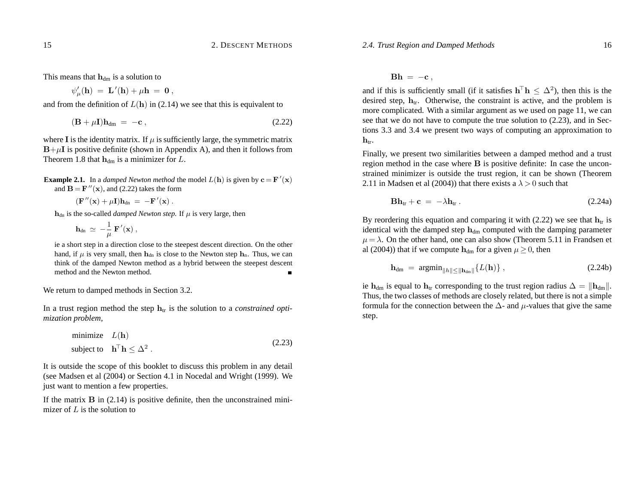This means that  $h_{dm}$  is a solution to

$$
\psi'_{\mu}({\bf h})\ =\ {\bf L}'({\bf h}) + \mu {\bf h}\ =\ {\bf 0}\ ,
$$

and from the definition of  $L(h)$  in (2.14) we see that this is equivalent to

$$
(\mathbf{B} + \mu \mathbf{I})\mathbf{h}_{dm} = -\mathbf{c} \tag{2.22}
$$

where **I** is the identity matrix. If  $\mu$  is sufficiently large, the symmetric matrix  $B+\mu I$  is positive definite (shown in Appendix A), and then it follows from Theorem 1.8 that  $\mathbf{h}_{dm}$  is a minimizer for *L*.

- **Example 2.1.** In a *damped Newton method* the model  $L(h)$  is given by  $c = F'(x)$ and  $\mathbf{B} = \mathbf{F}^{"}(\mathbf{x})$ , and (2.22) takes the form
	- $(\mathbf{F}^{\prime\prime}(\mathbf{x}) + \mu \mathbf{I})\mathbf{h}_{\text{dn}} = -\mathbf{F}^{\prime}(\mathbf{x})$ .

 $h_{dn}$  is the so-called *damped Newton step.* If  $\mu$  is very large, then

$$
\mathbf{h}_{dn} \; \simeq \; -\frac{1}{\mu} \, \mathbf{F}'(\mathbf{x}) \; ,
$$

ie <sup>a</sup> short step in <sup>a</sup> direction close to the steepest descent direction. On the other hand, if  $\mu$  is very small, then  $\mathbf{h}_{dn}$  is close to the Newton step  $\mathbf{h}_n$ . Thus, we can think of the damped Newton method as <sup>a</sup> hybrid between the steepest descent method and the Newton method.

We return to damped methods in Section 3.2.

In a trust region method the step  $h_{tr}$  is the solution to a *constrained optimization problem,*

minimize 
$$
L(\mathbf{h})
$$
  
subject to  $\mathbf{h}^{\top} \mathbf{h} \leq \Delta^2$ . (2.23)

It is outside the scope of this booklet to discuss this problem in any detail (see Madsen et al (2004) or Section 4.1 in Nocedal and Wright (1999). We just want to mention <sup>a</sup> few properties.

If the matrix **B** in (2.14) is positive definite, then the unconstrained minimizer of *L* is the solution to

 $\mathbf{B}\mathbf{h} \ =\ -\mathbf{c} \ ,$ 

and if this is sufficiently small (if it satisfies  $h^{\dagger}h < \Delta^2$ ), then this is the desired step,  $h_{tr}$ . Otherwise, the constraint is active, and the problem is more complicated. With <sup>a</sup> similar argumen<sup>t</sup> as we used on page 11, we can see that we do not have to compute the true solution to (2.23), and in Sections 3.3 and 3.4 we presen<sup>t</sup> two ways of computing an approximation to  $h_{tr}$ .

Finally, we presen<sup>t</sup> two similarities between <sup>a</sup> damped method and <sup>a</sup> trust region method in the case where **B** is positive definite: In case the unconstrained minimizer is outside the trust region, it can be shown (Theorem 2.11 in Madsen et al (2004)) that there exists a  $\lambda > 0$  such that

$$
\mathbf{B}\mathbf{h}_{tr} + \mathbf{c} = -\lambda \mathbf{h}_{tr} \,. \tag{2.24a}
$$

By reordering this equation and comparing it with  $(2.22)$  we see that  $h_{tr}$  is identical with the damped step  $h_{dm}$  computed with the damping parameter  $\mu = \lambda$ . On the other hand, one can also show (Theorem 5.11 in Frandsen et al (2004)) that if we compute  $h_{dm}$  for a given  $\mu \geq 0$ , then

$$
\mathbf{h}_{dm} = \operatorname{argmin}_{\|h\| \le \|\mathbf{h}_{dm}\|} \{L(\mathbf{h})\},\tag{2.24b}
$$

ie  $\bf{h}_{dm}$  is equal to  $\bf{h}_{tr}$  corresponding to the trust region radius  $\Delta = \|\bf{h}_{dm}\|.$ Thus, the two classes of methods are closely related, but there is not <sup>a</sup> simple formula for the connection between the ∆- and *µ*-values that give the same step.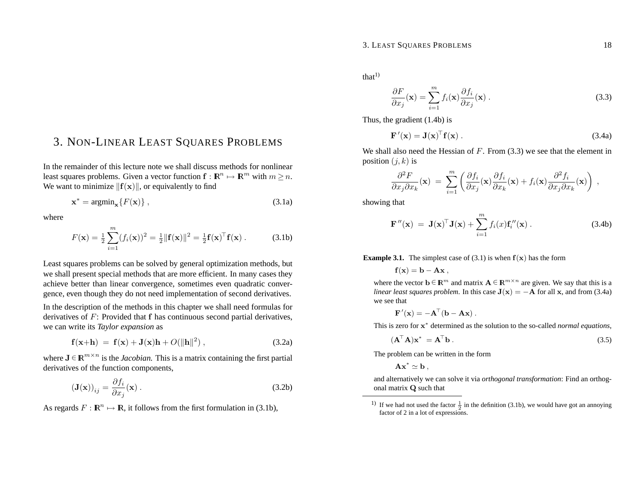# 3. NON-LINEAR LEAST SQUARES PROBLEMS

In the remainder of this lecture note we shall discuss methods for nonlinearleast squares problems. Given a vector function  $f: \mathbb{R}^n \mapsto \mathbb{R}^m$  with  $m \geq n$ . We want to minimize  $\|\mathbf{f}(\mathbf{x})\|$ , or equivalently to find

$$
\mathbf{x}^* = \operatorname{argmin}_{\mathbf{x}} \{ F(\mathbf{x}) \},\tag{3.1a}
$$

where

$$
F(\mathbf{x}) = \frac{1}{2} \sum_{i=1}^{m} (f_i(\mathbf{x}))^2 = \frac{1}{2} ||\mathbf{f}(\mathbf{x})||^2 = \frac{1}{2} \mathbf{f}(\mathbf{x})^\top \mathbf{f}(\mathbf{x}). \tag{3.1b}
$$

Least squares problems can be solved by general optimization methods, but we shall presen<sup>t</sup> special methods that are more efficient. In many cases they achieve better than linear convergence, sometimes even quadratic convergence, even though they do not need implementation of second derivatives.

In the description of the methods in this chapter we shall need formulas for derivatives of *F*: Provided that **f** has continuous second partial derivatives, we can write its *Taylor expansion* as

$$
\mathbf{f}(\mathbf{x}+\mathbf{h}) = \mathbf{f}(\mathbf{x}) + \mathbf{J}(\mathbf{x})\mathbf{h} + O(||\mathbf{h}||^2) , \qquad (3.2a)
$$

where  $J \in \mathbb{R}^{m \times n}$  is the *Jacobian*. This is a matrix containing the first partial derivatives of the function components,

$$
\left(\mathbf{J}(\mathbf{x})\right)_{ij} = \frac{\partial f_i}{\partial x_j}(\mathbf{x})\,. \tag{3.2b}
$$

As regards  $F : \mathbb{R}^n \mapsto \mathbb{R}$ , it follows from the first formulation in (3.1b),

 $that<sup>1</sup>$ 

$$
\frac{\partial F}{\partial x_j}(\mathbf{x}) = \sum_{i=1}^m f_i(\mathbf{x}) \frac{\partial f_i}{\partial x_j}(\mathbf{x}).
$$
\n(3.3)

Thus, the gradient (1.4b) is

$$
\mathbf{F}'(\mathbf{x}) = \mathbf{J}(\mathbf{x})^{\top} \mathbf{f}(\mathbf{x}). \tag{3.4a}
$$

We shall also need the Hessian of *F*. From (3.3) we see that the element in position  $(j, k)$  is

$$
\frac{\partial^2 F}{\partial x_j \partial x_k}(\mathbf{x}) = \sum_{i=1}^m \left( \frac{\partial f_i}{\partial x_j}(\mathbf{x}) \frac{\partial f_i}{\partial x_k}(\mathbf{x}) + f_i(\mathbf{x}) \frac{\partial^2 f_i}{\partial x_j \partial x_k}(\mathbf{x}) \right) ,
$$

showing that

$$
\mathbf{F}''(\mathbf{x}) = \mathbf{J}(\mathbf{x})^{\top} \mathbf{J}(\mathbf{x}) + \sum_{i=1}^{m} f_i(x) \mathbf{f}_i''(\mathbf{x}). \qquad (3.4b)
$$

**Example 3.1.** The simplest case of (3.1) is when  $f(x)$  has the form

 $f(x) = b - Ax$ 

where the vector  $\mathbf{b} \in \mathbb{R}^m$  and matrix  $\mathbf{A} \in \mathbb{R}^{m \times n}$  are given. We say that this is a *linear least squares problem.* In this case  $J(x) = -A$  for all **x**, and from (3.4a) we see that

$$
\mathbf{F}'(\mathbf{x}) = -\mathbf{A}^\top(\mathbf{b} - \mathbf{A}\mathbf{x})\,.
$$

This is zero for **<sup>x</sup>**<sup>∗</sup> determined as the solution to the so-called *normal equations*,

$$
(\mathbf{A}^{\top}\mathbf{A})\mathbf{x}^* = \mathbf{A}^{\top}\mathbf{b} \,. \tag{3.5}
$$

The problem can be written in the form

 $\mathbf{A}\mathbf{x}^* \simeq \mathbf{b}$  ,

and alternatively we can solve it via *orthogonal transformation*: Find an orthogonal matrix **Q** such that

<sup>&</sup>lt;sup>1)</sup> If we had not used the factor  $\frac{1}{2}$  in the definition (3.1b), we would have got an annoying factor of 2 in <sup>a</sup> lot of expressions.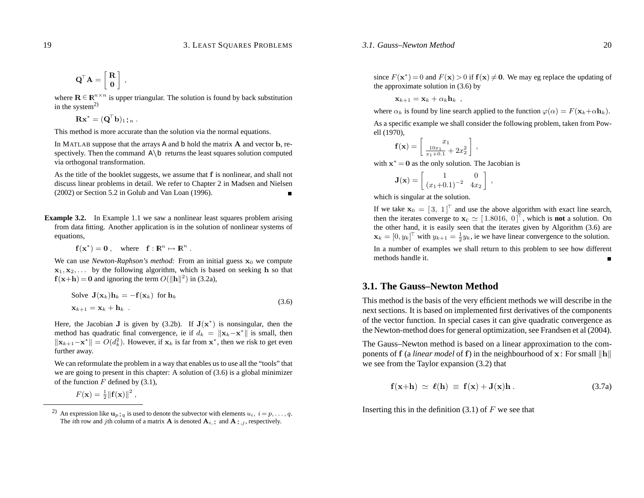$$
\mathbf{Q}^{\!\top}\mathbf{A} = \left[ \begin{array}{c} \mathbf{R} \\ \mathbf{0} \end{array} \right] \;,
$$

where  $\mathbf{R} \in \mathbb{R}^{n \times n}$  is upper triangular. The solution is found by back substitution in the system $^{2)}$ 

 $\mathbf{R}\mathbf{x}^* = (\mathbf{Q}^\top \mathbf{b})_1 \colon_n$  .

This method is more accurate than the solution via the normal equations.

In MATLAB suppose that the arrays A and b hold the matrix **A** and vector **b**, respectively. Then the command <sup>A</sup>*\*<sup>b</sup> returns the least squares solution computed via orthogonal transformation.

As the title of the booklet suggests, we assume that **f** is nonlinear, and shall not discuss linear problems in detail. We refer to Chapter 2 in Madsen and Nielsen (2002) or Section 5.2 in Golub and Van Loan (1996). П

**Example 3.2.** In Example 1.1 we saw a nonlinear least squares problem arising from data fitting. Another application is in the solution of nonlinear systems of equations,

$$
\mathbf{f}(\mathbf{x}^*) = \mathbf{0}, \quad \text{where} \quad \mathbf{f} : \mathbb{R}^n \mapsto \mathbb{R}^n \ .
$$

We can use *Newton-Raphson's method*: From an initial guess  $x_0$  we compute **<sup>x</sup>**1*,* **<sup>x</sup>**2*,...* by the following algorithm, which is based on seeking **h** so that  $f(x+h) = 0$  and ignoring the term  $O(||h||^2)$  in (3.2a),

Solve 
$$
\mathbf{J}(\mathbf{x}_k)\mathbf{h}_k = -\mathbf{f}(\mathbf{x}_k)
$$
 for  $\mathbf{h}_k$   
 $\mathbf{x}_{k+1} = \mathbf{x}_k + \mathbf{h}_k$ . (3.6)

Here, the Jacobian **J** is given by  $(3.2b)$ . If  $J(x^*)$  is nonsingular, then the method has quadratic final convergence, ie if  $d_k = ||\mathbf{x}_k - \mathbf{x}^*||$  is small, then  $\|\mathbf{x}_{k+1} - \mathbf{x}^*\| = O(d_k^2)$ . However, if  $\mathbf{x}_k$  is far from  $\mathbf{x}^*$ , then we risk to get even further away.

We can reformulate the problem in <sup>a</sup> way that enables us to use all the "tools" that we are going to presen<sup>t</sup> in this chapter: A solution of (3.6) is <sup>a</sup> global minimizer of the function *F* defined by (3.1),

$$
F(\mathbf{x}) = \frac{1}{2} \|\mathbf{f}(\mathbf{x})\|^2,
$$

since  $F(\mathbf{x}^*) = 0$  and  $F(\mathbf{x}) > 0$  if  $f(\mathbf{x}) \neq \mathbf{0}$ . We may eg replace the updating of the approximate solution in (3.6) by

 $\mathbf{x}_{k+1} = \mathbf{x}_k + \alpha_k \mathbf{h}_k$ ,

where  $\alpha_k$  is found by line search applied to the function  $\varphi(\alpha) = F(\mathbf{x}_k + \alpha \mathbf{h}_k)$ .

As <sup>a</sup> specific example we shall consider the following problem, taken from Powell (1970),

$$
\mathbf{f}(\mathbf{x}) = \begin{bmatrix} x_1 \\ \frac{10x_1}{x_1 + 0.1} + 2x_2^2 \end{bmatrix},
$$

with**<sup>x</sup>**<sup>∗</sup> <sup>=</sup>**0** as the only solution. The Jacobian is

$$
\mathbf{J}(\mathbf{x}) = \begin{bmatrix} 1 & 0 \\ (x_1 + 0.1)^{-2} & 4x_2 \end{bmatrix},
$$

which is singular at the solution.

If we take  $\mathbf{x}_0 = \begin{bmatrix} 3 \\ 1 \end{bmatrix}^T$  and use the above algorithm with exact line search, then the iterates converge to  $\mathbf{x}_c \simeq [1.8016, 0]^\top$ , which is **not** a solution. On the other hand, it is easily seen that the iterates given by Algorithm (3.6) are  $\mathbf{x}_k = [0, y_k]^\top$  with  $y_{k+1} = \frac{1}{2} y_k$ , ie we have linear convergence to the solution. In <sup>a</sup> number of examples we shall return to this problem to see how different methods handle it.

### **3.1. The Gauss–Newton Method**

This method is the basis of the very efficient methods we will describe in the next sections. It is based on implemented first derivatives of the components of the vector function. In special cases it can give quadratic convergence as the Newton-method does for general optimization, see Frandsen et al (2004).

The Gauss–Newton method is based on <sup>a</sup> linear approximation to the components of **f** (a *linear model* of **f**) in the neighbourhood of  $\mathbf{x}$ : For small  $\|\mathbf{h}\|$ we see from the Taylor expansion (3.2) that

$$
\mathbf{f}(\mathbf{x} + \mathbf{h}) \simeq \ell(\mathbf{h}) \equiv \mathbf{f}(\mathbf{x}) + \mathbf{J}(\mathbf{x})\mathbf{h} \,. \tag{3.7a}
$$

Inserting this in the definition (3.1) of *F* we see that

<sup>&</sup>lt;sup>2)</sup> An expression like  $\mathbf{u}_p:q$  is used to denote the subvector with elements  $u_i, i = p, \dots, q$ . The *i*th row and *j*th column of a matrix **A** is denoted  $\mathbf{A}_i$ , : and  $\mathbf{A}$ : *j*, respectively.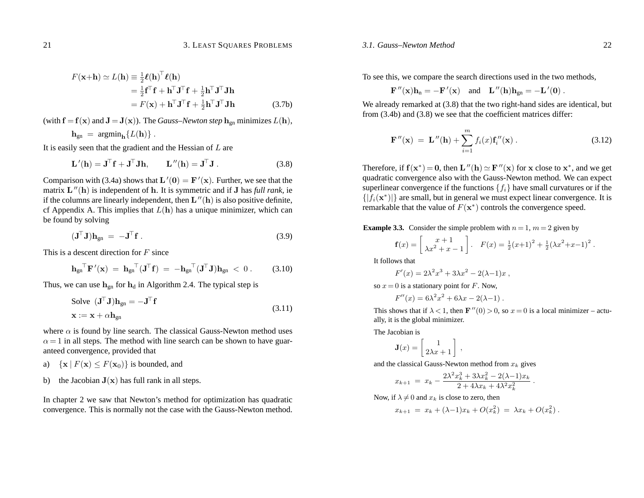#### *3.1. Gauss–Newton Method*

$$
F(\mathbf{x} + \mathbf{h}) \simeq L(\mathbf{h}) \equiv \frac{1}{2} \boldsymbol{\ell}(\mathbf{h})^{\top} \boldsymbol{\ell}(\mathbf{h})
$$
  
\n
$$
= \frac{1}{2} \mathbf{f}^{\top} \mathbf{f} + \mathbf{h}^{\top} \mathbf{J}^{\top} \mathbf{f} + \frac{1}{2} \mathbf{h}^{\top} \mathbf{J}^{\top} \mathbf{J} \mathbf{h}
$$
  
\n
$$
= F(\mathbf{x}) + \mathbf{h}^{\top} \mathbf{J}^{\top} \mathbf{f} + \frac{1}{2} \mathbf{h}^{\top} \mathbf{J}^{\top} \mathbf{J} \mathbf{h}
$$
 (3.7b)

(with  $\mathbf{f} = \mathbf{f}(\mathbf{x})$  and  $\mathbf{J} = \mathbf{J}(\mathbf{x})$ ). The *Gauss–Newton step*  $\mathbf{h}_{\text{on}}$  minimizes  $L(\mathbf{h})$ ,

$$
\mathbf{h}_{gn} = \operatorname{argmin}_{\mathbf{h}} \{ L(\mathbf{h}) \} .
$$

It is easily seen that the gradient and the Hessian of *L* are

$$
\mathbf{L}'(\mathbf{h}) = \mathbf{J}^{\top} \mathbf{f} + \mathbf{J}^{\top} \mathbf{J} \mathbf{h}, \qquad \mathbf{L}''(\mathbf{h}) = \mathbf{J}^{\top} \mathbf{J} . \tag{3.8}
$$

Comparison with (3.4a) shows that  $\mathbf{L}'(0) = \mathbf{F}'(\mathbf{x})$ . Further, we see that the matrix **<sup>L</sup>**<sup>00</sup>(**h**) is independent of **<sup>h</sup>**. It is symmetric and if **<sup>J</sup>** has *full rank,* ie if the columns are linearly independent, then  $\mathbf{L}''(\mathbf{h})$  is also positive definite, cf Appendix A. This implies that  $L(h)$  has a unique minimizer, which can be found by solving

$$
(\mathbf{J}^{\top}\mathbf{J})\mathbf{h}_{gn} = -\mathbf{J}^{\top}\mathbf{f}.
$$
 (3.9)

This is <sup>a</sup> descent direction for *F* since

$$
\mathbf{h}_{gn}^\top \mathbf{F}'(\mathbf{x}) = \mathbf{h}_{gn}^\top (\mathbf{J}^\top \mathbf{f}) = -\mathbf{h}_{gn}^\top (\mathbf{J}^\top \mathbf{J}) \mathbf{h}_{gn} < 0. \quad (3.10)
$$

Thus, we can use  $h_{gn}$  for  $h_d$  in Algorithm 2.4. The typical step is

Solve 
$$
(\mathbf{J}^{\top}\mathbf{J})\mathbf{h}_{gn} = -\mathbf{J}^{\top}\mathbf{f}
$$
  
 $\mathbf{x} := \mathbf{x} + \alpha \mathbf{h}_{gn}$  (3.11)

where  $\alpha$  is found by line search. The classical Gauss-Newton method uses  $\alpha = 1$  in all steps. The method with line search can be shown to have guaranteed convergence, provided that

a) 
$$
\{ \mathbf{x} \mid F(\mathbf{x}) \leq F(\mathbf{x}_0) \}
$$
 is bounded, and

b) the Jacobian  $J(x)$  has full rank in all steps.

In chapter 2 we saw that Newton's method for optimization has quadratic convergence. This is normally not the case with the Gauss-Newton method.

To see this, we compare the search directions used in the two methods,

$$
\mathbf{F}''(\mathbf{x})\mathbf{h}_n = -\mathbf{F}'(\mathbf{x})
$$
 and  $\mathbf{L}''(\mathbf{h})\mathbf{h}_{gn} = -\mathbf{L}'(\mathbf{0})$ .

We already remarked at  $(3.8)$  that the two right-hand sides are identical, but from (3.4b) and (3.8) we see that the coefficient matrices differ:

$$
\mathbf{F}''(\mathbf{x}) = \mathbf{L}''(\mathbf{h}) + \sum_{i=1}^{m} f_i(x) \mathbf{f}'_i(\mathbf{x}). \qquad (3.12)
$$

Therefore, if  $f(x^*) = 0$ , then  $L''(h) \simeq F''(x)$  for x close to  $x^*$ , and we get quadratic convergence also with the Gauss-Newton method. We can expec<sup>t</sup> superlinear convergence if the functions  ${f_i}$  have small curvatures or if the  $\{|f_i(\mathbf{x}^*)|\}$  are small, but in general we must expect linear convergence. It is remarkable that the value of  $F(\mathbf{x}^*)$  controls the convergence speed.

**Example 3.3.** Consider the simple problem with  $n = 1$ ,  $m = 2$  given by

$$
\mathbf{f}(x) = \begin{bmatrix} x+1 \\ \lambda x^2 + x - 1 \end{bmatrix} . \quad F(x) = \frac{1}{2}(x+1)^2 + \frac{1}{2}(\lambda x^2 + x - 1)^2 .
$$

It follows that

$$
F'(x) = 2\lambda^2 x^3 + 3\lambda x^2 - 2(\lambda - 1)x,
$$

so  $x = 0$  is a stationary point for *F*. Now,

$$
F''(x) = 6\lambda^2 x^2 + 6\lambda x - 2(\lambda - 1) \ .
$$

This shows that if  $\lambda < 1$ , then  $\mathbf{F}''(0) > 0$ , so  $x = 0$  is a local minimizer – actually, it is the global minimizer.

The Jacobian is

$$
\mathbf{J}(x) = \left[ \begin{array}{c} 1 \\ 2\lambda x + 1 \end{array} \right] ,
$$

and the classical Gauss-Newton method from *xk* gives

$$
x_{k+1} = x_k - \frac{2\lambda^2 x_k^3 + 3\lambda x_k^2 - 2(\lambda - 1)x_k}{2 + 4\lambda x_k + 4\lambda^2 x_k^2}.
$$

Now, if  $\lambda \neq 0$  and  $x_k$  is close to zero, then

$$
x_{k+1} = x_k + (\lambda - 1)x_k + O(x_k^2) = \lambda x_k + O(x_k^2).
$$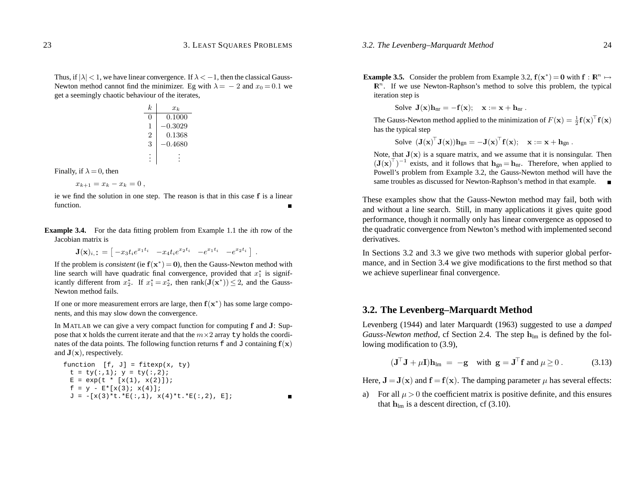$\blacksquare$ 

Thus, if  $|\lambda|$  < 1, we have linear convergence. If  $\lambda$  <  $-1$ , then the classical Gauss-Newton method cannot find the minimizer. Eg with  $\lambda = -2$  and  $x_0 = 0.1$  we ge<sup>t</sup> <sup>a</sup> seemingly chaotic behaviour of the iterates,

| k   | $x_k$   |
|-----|---------|
| 0   | 0.1000  |
| 1   | -0.3029 |
| 2   | 0.1368  |
| 3   | -0.4680 |
| ... | ...     |

Finally, if  $\lambda = 0$ , then

$$
x_{k+1}=x_k-x_k=0,
$$

ie we find the solution in one step. The reason is that in this case **f** is <sup>a</sup> linear function.

**Example 3.4.** For the data fitting problem from Example 1.1 the *i*th row of the Jacobian matrix is

 $\mathbf{J}(\mathbf{x})_i := \begin{bmatrix} -x_3 t_i e^{x_1 t_i} & -x_4 t_i e^{x_2 t_i} & -e^{x_1 t_i} & -e^{x_2 t_i} \end{bmatrix}.$ 

If the problem is *consistent* (ie  $f(x^*) = 0$ ), then the Gauss-Newton method with line search will have quadratic final convergence, provided that  $x_1^*$  is significantly different from  $x_2^*$ . If  $x_1^* = x_2^*$ , then  $rank(\mathbf{J}(\mathbf{x}^*)) \leq 2$ , and the Gauss-Newton method fails.

If one or more measurement errors are large, then  $f(x^*)$  has some large components, and this may slow down the convergence.

In MATLAB we can give <sup>a</sup> very compac<sup>t</sup> function for computing **f** and **J**: Suppose that x holds the current iterate and that the  $m \times 2$  array ty holds the coordinates of the data points. The following function returns f and J containing  $f(x)$ and **<sup>J</sup>**(**x**), respectively.

```
function [f, J] = fitexp(x, ty)t = ty(:,1); y = ty(:,2);E = exp(t * [x(1), x(2)]);f = y - E^* [x(3); x(4)];
 J = -[x(3)*t.*E(:,1), x(4)*t.*E(:,2), E];
```
**Example 3.5.** Consider the problem from Example 3.2,  $f(x^*) = 0$  with  $f: \mathbb{R}^n \mapsto$  $\mathbb{R}^n$ . If we use Newton-Raphson's method to solve this problem, the typical iteration step is

Solve  $J(x)h_{nr} = -f(x);$   $x := x + h_{nr}$ .

The Gauss-Newton method applied to the minimization of  $F(\mathbf{x}) = \frac{1}{2} \mathbf{f}(\mathbf{x})^\top \mathbf{f}(\mathbf{x})$ has the typical step

Solve 
$$
(\mathbf{J}(\mathbf{x})^{\top} \mathbf{J}(\mathbf{x})) \mathbf{h}_{gn} = -\mathbf{J}(\mathbf{x})^{\top} \mathbf{f}(\mathbf{x}); \quad \mathbf{x} := \mathbf{x} + \mathbf{h}_{gn}
$$
.

Note, that  $J(x)$  is a square matrix, and we assume that it is nonsingular. Then  $({\bf J}({\bf x})^{\top})^{-1}$  exists, and it follows that  ${\bf h}_{\text{gn}}={\bf h}_{\text{nr}}$ . Therefore, when applied to Powell's problem from Example 3.2, the Gauss-Newton method will have the same troubles as discussed for Newton-Raphson's method in that example.  $\Box$ 

These examples show that the Gauss-Newton method may fail, both with and without <sup>a</sup> line search. Still, in many applications it gives quite good performance, though it normally only has linear convergence as opposed to the quadratic convergence from Newton's method with implemented second derivatives.

In Sections 3.2 and 3.3 we give two methods with superior global performance, and in Section 3.4 we give modifications to the first method so that we achieve superlinear final convergence.

## **3.2. The Levenberg–Marquardt Method**

Levenberg (1944) and later Marquardt (1963) suggested to use <sup>a</sup> *damped Gauss-Newton method,* cf Section 2.4. The step  $h_{lm}$  is defined by the following modification to (3.9),

$$
(\mathbf{J}^{\top}\mathbf{J} + \mu \mathbf{I})\mathbf{h}_{\text{lm}} = -\mathbf{g} \quad \text{with } \mathbf{g} = \mathbf{J}^{\top}\mathbf{f} \text{ and } \mu \ge 0. \tag{3.13}
$$

Here,  $\mathbf{J} = \mathbf{J}(\mathbf{x})$  and  $\mathbf{f} = \mathbf{f}(\mathbf{x})$ . The damping parameter  $\mu$  has several effects:

a) For all  $\mu > 0$  the coefficient matrix is positive definite, and this ensures that  $\mathbf{h}_{\text{lm}}$  is a descent direction, cf (3.10).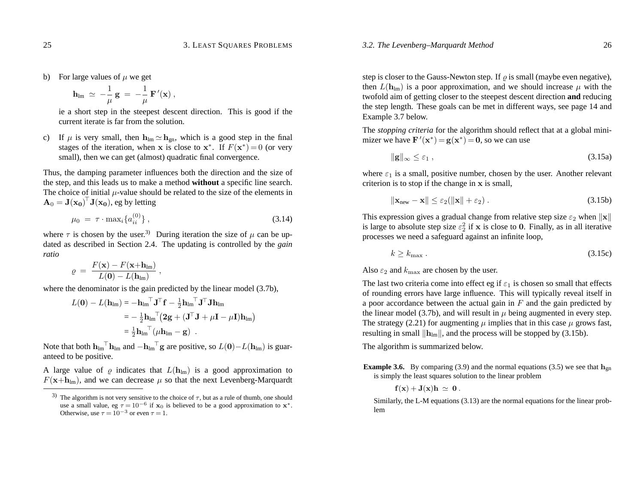b) For large values of  $\mu$  we get

$$
{\bf h}_{\rm lm}\;\simeq\; -\frac{1}{\mu}\;{\bf g}\;=\;-\frac{1}{\mu}\;{\bf F}\,'({\bf x})\;,
$$

ie <sup>a</sup> short step in the steepest descent direction. This is good if the current iterate is far from the solution.

c) If  $\mu$  is very small, then  $\mathbf{h}_{lm} \simeq \mathbf{h}_{gn}$ , which is a good step in the final stages of the iteration, when **x** is close to **x**<sup>\*</sup>. If  $F(\mathbf{x}^*)=0$  (or very small), then we can get (almost) quadratic final convergence.

Thus, the damping parameter influences both the direction and the size of the step, and this leads us to make <sup>a</sup> method **without** <sup>a</sup> specific line search. The choice of initial  $\mu$ -value should be related to the size of the elements in  $\mathbf{A}_0 = \mathbf{J}(\mathbf{x_0})^\top \mathbf{J}(\mathbf{x_0})$ , eg by letting

$$
\mu_0 = \tau \cdot \max_i \{ a_{ii}^{(0)} \}, \tag{3.14}
$$

where  $\tau$  is chosen by the user.<sup>3)</sup> During iteration the size of  $\mu$  can be updated as described in Section 2.4. The updating is controlled by the *gain ratio*

$$
\varrho\ =\ \frac{F(\mathbf{x})-F(\mathbf{x}+\mathbf{h}_\text{Im})}{L(\mathbf{0})-L(\mathbf{h}_\text{Im})}\ ,
$$

where the denominator is the gain predicted by the linear model (3.7b),

$$
L(\mathbf{0}) - L(\mathbf{h}_{lm}) = -\mathbf{h}_{lm} \mathbf{I} \mathbf{J} \mathbf{J} \mathbf{f} - \frac{1}{2} \mathbf{h}_{lm} \mathbf{I} \mathbf{J} \mathbf{J} \mathbf{h}_{lm}
$$
  
=  $-\frac{1}{2} \mathbf{h}_{lm} \mathbf{I} (\mathbf{2} \mathbf{g} + (\mathbf{J} \mathbf{J} + \mu \mathbf{I} - \mu \mathbf{I}) \mathbf{h}_{lm})$   
=  $\frac{1}{2} \mathbf{h}_{lm} \mathbf{I} (\mu \mathbf{h}_{lm} - \mathbf{g})$ .

Note that both  $\mathbf{h}_{\text{lm}}^{\top} \mathbf{h}_{\text{lm}}$  and  $-\mathbf{h}_{\text{lm}}^{\top} \mathbf{g}$  are positive, so  $L(\mathbf{0}) - L(\mathbf{h}_{\text{lm}})$  is guaranteed to be positive.

A large value of  $\varrho$  indicates that  $L(\mathbf{h}_{lm})$  is a good approximation to  $F(\mathbf{x}+\mathbf{h}_{lm})$ , and we can decrease  $\mu$  so that the next Levenberg-Marquardt

step is closer to the Gauss-Newton step. If  $\rho$  is small (maybe even negative), then  $L(\mathbf{h}_{lm})$  is a poor approximation, and we should increase  $\mu$  with the twofold aim of getting closer to the steepest descent direction **and** reducing the step length. These goals can be met in different ways, see page 14 and Example 3.7 below.

The *stopping criteria* for the algorithm should reflect that at <sup>a</sup> global minimizer we have  $\mathbf{F}'(\mathbf{x}^*) = \mathbf{g}(\mathbf{x}^*) = \mathbf{0}$ , so we can use

$$
\|\mathbf{g}\|_{\infty} \leq \varepsilon_1 \,,\tag{3.15a}
$$

where  $\varepsilon_1$  is a small, positive number, chosen by the user. Another relevant criterion is to stop if the change in **x** is small,

$$
\|\mathbf{x}_{\text{new}} - \mathbf{x}\| \le \varepsilon_2 (\|\mathbf{x}\| + \varepsilon_2). \tag{3.15b}
$$

This expression gives a gradual change from relative step size  $\varepsilon_2$  when  $\|\mathbf{x}\|$ is large to absolute step size  $\varepsilon_2^2$  if **x** is close to 0. Finally, as in all iterative processes we need <sup>a</sup> safeguard against an infinite loop,

$$
k \ge k_{\text{max}} \tag{3.15c}
$$

Also  $\varepsilon_2$  and  $k_{\rm max}$  are chosen by the user.

The last two criteria come into effect eg if  $\varepsilon_1$  is chosen so small that effects of rounding errors have large influence. This will typically reveal itself in <sup>a</sup> poor accordance between the actual gain in *F* and the gain predicted by the linear model (3.7b), and will result in  $\mu$  being augmented in every step. The strategy (2.21) for augmenting  $\mu$  implies that in this case  $\mu$  grows fast, resulting in small  $\|\mathbf{h}_{lm}\|$ , and the process will be stopped by (3.15b).

The algorithm is summarized below.

**Example 3.6.** By comparing (3.9) and the normal equations (3.5) we see that  $h_{gn}$ is simply the least squares solution to the linear problem

$$
\mathbf{f}(\mathbf{x}) + \mathbf{J}(\mathbf{x})\mathbf{h} \,\simeq\, \mathbf{0} \, .
$$

Similarly, the L-M equations (3.13) are the normal equations for the linear problem

<sup>&</sup>lt;sup>3)</sup> The algorithm is not very sensitive to the choice of  $\tau$ , but as a rule of thumb, one should use a small value, eg  $\tau = 10^{-6}$  if  $\mathbf{x}_0$  is believed to be a good approximation to  $\mathbf{x}^*$ . Otherwise, use  $\tau = 10^{-3}$  or even  $\tau = 1$ .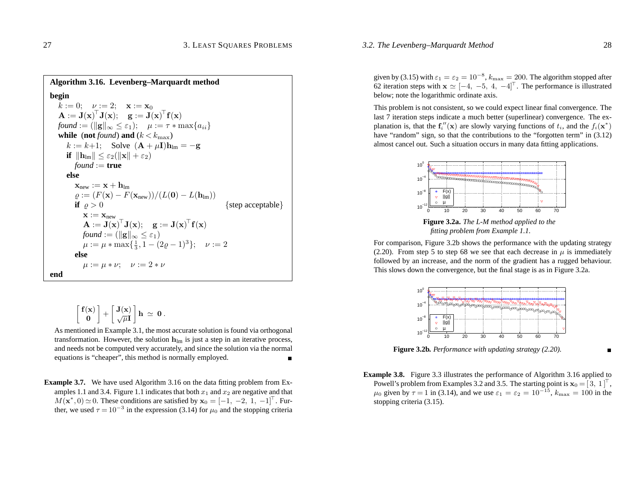#### *3.2. The Levenberg–Marquardt Method* 28

**Algorithm 3.16. Levenberg–Marquardt method begin**  $k := 0; \quad \nu := 2; \quad \mathbf{x} := \mathbf{x}_0$  $\mathbf{A} := \mathbf{J}(\mathbf{x})^\top \mathbf{J}(\mathbf{x}); \quad \mathbf{g} := \mathbf{J}(\mathbf{x})^\top \mathbf{f}(\mathbf{x})$  $found := (\|\mathbf{g}\|_{\infty} \leq \varepsilon_1); \quad \mu := \tau * \max\{a_{ii}\}\$ **while** (**not** *found*) **and** ( $k < k_{\text{max}}$ )  $k := k+1$ ; Solve  $(\mathbf{A} + \mu \mathbf{I})\mathbf{h}_{lm} = -\mathbf{g}$  $\textbf{if} \hspace{0.2cm} \|\textbf{h}_{\text{lm}}\| \leq \varepsilon_2(\|\textbf{x}\| + \varepsilon_2)$  $found := true$ **else** $\mathbf{x}_{\rm new} := \mathbf{x} + \mathbf{h}_{\rm lm}$  $\varrho := (F(\mathbf{x}) - F(\mathbf{x}_{\text{new}}))/(L(\mathbf{0}) - L(\mathbf{h}_{\text{lm}}))$ **if**  $\rho > 0$  $\{$  step acceptable  $\}$  $\mathbf{x} := \mathbf{x}_{\text{new}}$  $\mathbf{A} := \mathbf{J}(\mathbf{x})^\top \mathbf{J}(\mathbf{x}); \quad \mathbf{g} := \mathbf{J}(\mathbf{x})^\top \mathbf{f}(\mathbf{x})$ *found* :=  $(\|\mathbf{g}\|_{\infty} \leq \varepsilon_1)$  $\mu := \mu * \max\{\frac{1}{3}, 1 - (2\varrho - 1)^3\}; \quad \nu := 2$ **else** $\mu := \mu * \nu; \quad \nu := 2 * \nu$ **end**

$$
\left[\!\begin{array}{c}f(x)\\0\end{array}\!\right]+\left[\!\begin{array}{c}J(x)\\\sqrt{\mu}I\end{array}\!\right]h\,\simeq\,0\,.
$$

As mentioned in Example 3.1, the most accurate solution is found via orthogonal transformation. However, the solution **h**lm is just <sup>a</sup> step in an iterative process, and needs not be computed very accurately, and since the solution via the normal equations is "cheaper", this method is normally employed. п

**Example 3.7.** We have used Algorithm 3.16 on the data fitting problem from Examples 1.1 and 3.4. Figure 1.1 indicates that both  $x_1$  and  $x_2$  are negative and that  $M(\mathbf{x}^*,0) \simeq 0$ . These conditions are satisfied by  $\mathbf{x}_0 = [-1, -2, 1, -1]^\top$ . Further, we used  $\tau = 10^{-3}$  in the expression (3.14) for  $\mu_0$  and the stopping criteria

given by (3.15) with  $\varepsilon_1 = \varepsilon_2 = 10^{-8}$ ,  $k_{\text{max}} = 200$ . The algorithm stopped after 62 iteration steps with  $\mathbf{x} \simeq [-4, -5, 4, -4]^\top$ . The performance is illustrated below; note the logarithmic ordinate axis.

This problem is not consistent, so we could expec<sup>t</sup> linear final convergence. The last 7 iteration steps indicate <sup>a</sup> much better (superlinear) convergence. The explanation is, that the  $f''_i(\mathbf{x})$  are slowly varying functions of  $t_i$ , and the  $f_i(\mathbf{x}^*)$ have "random" sign, so that the contributions to the "forgotten term" in  $(3.12)$ almost cancel out. Such <sup>a</sup> situation occurs in many data fitting applications.



**Figure 3.2a.** *The L-M method applied to the fitting problem from Example 1.1.*

For comparison, Figure 3.2b shows the performance with the updating strategy (2.20). From step 5 to step 68 we see that each decrease in  $\mu$  is immediately followed by an increase, and the norm of the gradient has <sup>a</sup> rugged behaviour. This slows down the convergence, but the final stage is as in Figure 3.2a.



**Figure 3.2b.** *Performance with updating strategy (2.20).*

- 
- **Example 3.8.** Figure 3.3 illustrates the performance of Algorithm 3.16 applied to Powell's problem from Examples 3.2 and 3.5. The starting point is  $\mathbf{x}_0 = [3, 1]^\top$ ,  $\mu_0$  given by  $\tau = 1$  in (3.14), and we use  $\varepsilon_1 = \varepsilon_2 = 10^{-15}$ ,  $k_{\text{max}} = 100$  in the stopping criteria (3.15).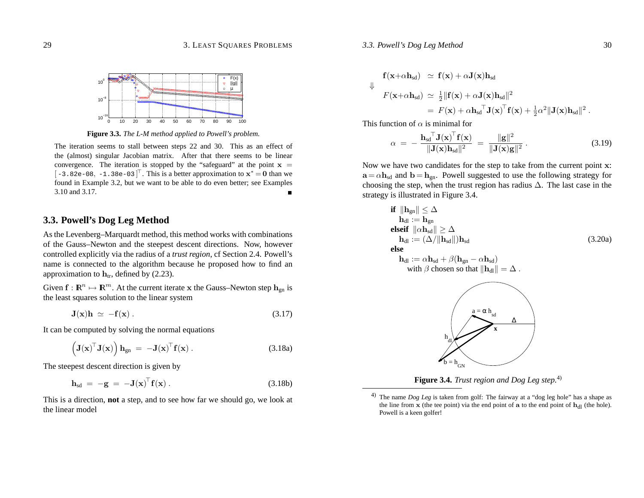#### *3.3. Powell's Dog Leg Method* 30

#### 29 3. LEAST SQUARES PROBLEMS



**Figure 3.3.** *The L-M method applied to Powell's problem.*

The iteration seems to stall between steps 22 and 30. This as an effect of the (almost) singular Jacobian matrix. After that there seems to be linear convergence. The iteration is stopped by the "safeguard" at the point  $x =$  $[-3.82e-08, -1.38e-03]^\top$ . This is a better approximation to  $x^* = 0$  than we found in Example 3.2, but we want to be able to do even better; see Examples 3.10 and 3.17.

## **3.3. Powell's Dog Leg Method**

As the Levenberg–Marquardt method, this method works with combinations of the Gauss–Newton and the steepest descent directions. Now, however controlled explicitly via the radius of <sup>a</sup> *trust region*, cf Section 2.4. Powell's name is connected to the algorithm because he proposed how to find an approximation to  $h_{tr}$ , defined by (2.23).

Given  $\mathbf{f} : \mathbf{R}^n \mapsto \mathbf{R}^m$ . At the current iterate  $\mathbf{x}$  the Gauss–Newton step  $\mathbf{h}_{\text{gn}}$  is the least squares solution to the linear system

$$
\mathbf{J}(\mathbf{x})\mathbf{h} \simeq -\mathbf{f}(\mathbf{x})\,. \tag{3.17}
$$

It can be computed by solving the normal equations

$$
\left(\mathbf{J}(\mathbf{x})^{\top}\mathbf{J}(\mathbf{x})\right)\mathbf{h}_{gn} = -\mathbf{J}(\mathbf{x})^{\top}\mathbf{f}(\mathbf{x}). \qquad (3.18a)
$$

The steepest descent direction is given by

$$
\mathbf{h}_{sd} = -\mathbf{g} = -\mathbf{J}(\mathbf{x})^{\top} \mathbf{f}(\mathbf{x}). \tag{3.18b}
$$

This is <sup>a</sup> direction, **not** <sup>a</sup> step, and to see how far we should go, we look at the linear model

$$
\mathbf{f}(\mathbf{x}+\alpha \mathbf{h}_{sd}) \simeq \mathbf{f}(\mathbf{x}) + \alpha \mathbf{J}(\mathbf{x}) \mathbf{h}_{sd}
$$
\n
$$
\Downarrow
$$
\n
$$
F(\mathbf{x}+\alpha \mathbf{h}_{sd}) \simeq \frac{1}{2} ||\mathbf{f}(\mathbf{x}) + \alpha \mathbf{J}(\mathbf{x}) \mathbf{h}_{sd}||^2
$$
\n
$$
= F(\mathbf{x}) + \alpha \mathbf{h}_{sd} \mathbf{J}(\mathbf{x})^{\top} \mathbf{f}(\mathbf{x}) + \frac{1}{2} \alpha^2 ||\mathbf{J}(\mathbf{x}) \mathbf{h}_{sd}||^2.
$$

This function of *α* is minimal for

$$
\alpha = -\frac{\mathbf{h}_{sd}^\top \mathbf{J}(\mathbf{x})^\top \mathbf{f}(\mathbf{x})}{\|\mathbf{J}(\mathbf{x})\mathbf{h}_{sd}\|^2} = \frac{\|\mathbf{g}\|^2}{\|\mathbf{J}(\mathbf{x})\mathbf{g}\|^2} \,. \tag{3.19}
$$

Now we have two candidates for the step to take from the current point **<sup>x</sup>**:  $\mathbf{a} = \alpha \mathbf{h}_{sd}$  and  $\mathbf{b} = \mathbf{h}_{gn}$ . Powell suggested to use the following strategy for choosing the step, when the trust region has radius  $\Delta$ . The last case in the strategy is illustrated in Figure 3.4.

**if** 
$$
\|\mathbf{h}_{gn}\| \leq \Delta
$$

\n $\mathbf{h}_{dl} := \mathbf{h}_{gn}$ 

\n**else**

\n $\mathbf{h}_{dl} := (\Delta / \|\mathbf{h}_{sd}\|) \mathbf{h}_{sd}$ 

\n**else**

\n $\mathbf{h}_{dl} := \alpha \mathbf{h}_{sd} + \beta (\mathbf{h}_{gn} - \alpha \mathbf{h}_{sd})$ 

\nwith  $\beta$  chosen so that  $\|\mathbf{h}_{dl}\| = \Delta$ .

\n $\mathbf{h}_{dl}$ 

\n $\mathbf{h}_{dl}$ 

\n $\mathbf{h}_{dl}$ 

\n $\mathbf{h}_{dl}$ 

\n $\mathbf{h}_{dl}$ 

\n $\mathbf{h}_{dl}$ 

\n $\mathbf{h}_{dl}$ 

\n $\mathbf{h}_{dl}$ 

\n $\mathbf{h}_{dl}$ 

\n $\mathbf{h}_{dl}$ 

\n $\mathbf{h}_{dl}$ 

\n $\mathbf{h}_{dl}$ 

\n $\mathbf{h}_{dl}$ 

\n $\mathbf{h}_{dl}$ 

\n $\mathbf{h}_{dl}$ 

\n $\mathbf{h}_{dl}$ 

\n $\mathbf{h}_{dl}$ 

\n $\mathbf{h}_{dl}$ 

\n $\mathbf{h}_{dl}$ 

\n $\mathbf{h}_{dl}$ 

**Figure 3.4.** *Trust region and Dog Leg step.*4)

<sup>&</sup>lt;sup>4)</sup> The name *Dog Leg* is taken from golf: The fairway at a "dog leg hole" has a shape as the line from  $\bf{x}$  (the tee point) via the end point of  $\bf{a}$  to the end point of  $\bf{h}_{dl}$  (the hole). Powell is <sup>a</sup> keen golfer!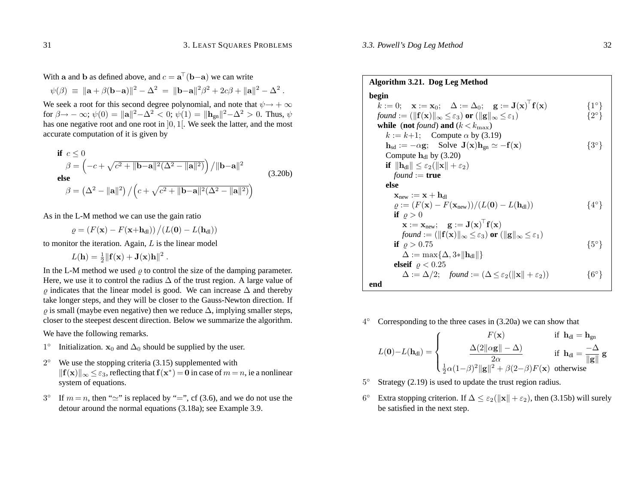With **a** and **b** as defined above, and  $c = \mathbf{a}^{\top}(\mathbf{b}-\mathbf{a})$  we can write

$$
\psi(\beta) \; \equiv \; \|\mathbf{a} + \beta(\mathbf{b} - \mathbf{a})\|^2 - \Delta^2 \; = \; \|\mathbf{b} - \mathbf{a}\|^2 \beta^2 + 2c\beta + \|\mathbf{a}\|^2 - \Delta^2 \; .
$$

We seek a root for this second degree polynomial, and note that  $\psi \rightarrow +\infty$ for  $\beta \to -\infty$ ;  $\psi(0) = ||a||^2 - \Delta^2 < 0$ ;  $\psi(1) = ||\mathbf{h}_{gn}||^2 - \Delta^2 > 0$ . Thus,  $\psi$ has one negative root and one root in  $]0,1[$ . We seek the latter, and the most accurate computation of it is given by

\n
$$
\text{if } c \leq 0
$$
\n $\beta = \left( -c + \sqrt{c^2 + \|\mathbf{b} - \mathbf{a}\|^2 (\Delta^2 - \|\mathbf{a}\|^2)} \right) / \|\mathbf{b} - \mathbf{a}\|^2$ \n

\n\n else\n  $\beta = \left( \Delta^2 - \|\mathbf{a}\|^2 \right) / \left( c + \sqrt{c^2 + \|\mathbf{b} - \mathbf{a}\|^2 (\Delta^2 - \|\mathbf{a}\|^2)} \right)$ \n

\n\n (3.20b)\n

As in the L-M method we can use the gain ratio

 $\varrho = \left( F(\mathbf{x}) - F(\mathbf{x} + \mathbf{h}_{\mathrm{dl}}) \right) \big/ (L(\mathbf{0}) - L(\mathbf{h}_{\mathrm{dl}}))$ 

to monitor the iteration. Again, *L* is the linear model

$$
L(\mathbf{h}) = \frac{1}{2} \|\mathbf{f}(\mathbf{x}) + \mathbf{J}(\mathbf{x})\mathbf{h}\|^2.
$$

In the L-M method we used  $\varrho$  to control the size of the damping parameter. Here, we use it to control the radius  $\Delta$  of the trust region. A large value of  $\varrho$  indicates that the linear model is good. We can increase  $\Delta$  and thereby take longer steps, and they will be closer to the Gauss-Newton direction. If  $\varrho$  is small (maybe even negative) then we reduce  $\Delta$ , implying smaller steps, closer to the steepest descent direction. Below we summarize the algorithm.

We have the following remarks.

- 1<sup>°</sup> Initialization.  $x_0$  and  $\Delta_0$  should be supplied by the user.
- $2°$  We use the stopping criteria (3.15) supplemented with  $\|f(\mathbf{x})\|_{\infty} \leq \varepsilon_3$ , reflecting that  $f(\mathbf{x}^*) = \mathbf{0}$  in case of  $m = n$ , ie a nonlinear system of equations.
- $3°$  If  $m = n$ , then " $\simeq$ " is replaced by "=", cf (3.6), and we do not use the detour around the normal equations (3.18a); see Example 3.9.

**Algorithm 3.21. Dog Leg Method begin**  $\overline{k} := 0; \quad \mathbf{x} := \mathbf{x}_0; \quad \Delta := \Delta_0; \quad \mathbf{g} := \mathbf{J}(\mathbf{x})^\top \mathbf{f}(\mathbf{x}) \qquad \qquad \{1^\circ\}$ *found* := ( $\|\mathbf{f}(\mathbf{x})\|_{\infty} \leq \varepsilon_3$ ) **or** ( $\|\mathbf{g}\|_{\infty} \leq \varepsilon_1$ ) {2°} **while** (**not** *found*) **and** ( $k < k_{\text{max}}$ )  $k := k+1$ ; Compute  $\alpha$  by (3.19)  $h_{sd} := -\alpha \mathbf{g}$ ; Solve  $\mathbf{J}(\mathbf{x})h_{gn} \simeq -\mathbf{f}(\mathbf{x})$  {3°} Compute  $\mathbf{h}_{\text{dl}}$  by (3.20)  $\textbf{if} \ \left\| \textbf{h}_{\rm dl} \right\| \leq \varepsilon_2(\left\| \textbf{x} \right\| + \varepsilon_2)$  $found := true$ **else** $\mathbf{x}_{\rm new} := \mathbf{x} + \mathbf{h}_{\rm dl}$  $\omega := (F(\mathbf{x}) - F(\mathbf{x}_{\text{new}}))/(L(\mathbf{0}) - L(\mathbf{h}_{\text{dl}}))$  {4°} **if**  $\varrho > 0$  $\mathbf{x} := \mathbf{x}_{\text{new}}; \quad \mathbf{g} := \mathbf{J}(\mathbf{x})^{\top} \mathbf{f}(\mathbf{x})$  $f\!ound := (\lVert \mathbf{f}(\mathbf{x}) \rVert_\infty \leq \varepsilon_3)$  or  $(\lVert \mathbf{g} \rVert_\infty \leq \varepsilon_1)$ **if**  $\varrho > 0.75$  {5°}  $\Delta := \max\{\Delta, 3* \|\mathbf{h}_{\text{dl}}\|\}$ **elseif**  $\varrho < 0.25$  $\Delta := \Delta/2;$  *found* :=  $(\Delta \leq \varepsilon_2(\Vert \mathbf{x} \Vert + \varepsilon_2))$  {6°} **end**

 $4°$  Corresponding to the three cases in (3.20a) we can show that

$$
L(\mathbf{0}) - L(\mathbf{h}_{dl}) = \begin{cases} F(\mathbf{x}) & \text{if } \mathbf{h}_{dl} = \mathbf{h}_{gn} \\ \frac{\Delta(2||\alpha \mathbf{g}|| - \Delta)}{2\alpha} & \text{if } \mathbf{h}_{dl} = \frac{-\Delta}{||\mathbf{g}||} \mathbf{g} \\ \frac{1}{2}\alpha(1-\beta)^2 ||\mathbf{g}||^2 + \beta(2-\beta)F(\mathbf{x}) & \text{otherwise} \end{cases}
$$

- 5◦ Strategy (2.19) is used to update the trust region radius.
- 6<sup>°</sup> Extra stopping criterion. If  $\Delta \leq \varepsilon_2(\|\mathbf{x}\| + \varepsilon_2)$ , then (3.15b) will surely be satisfied in the next step.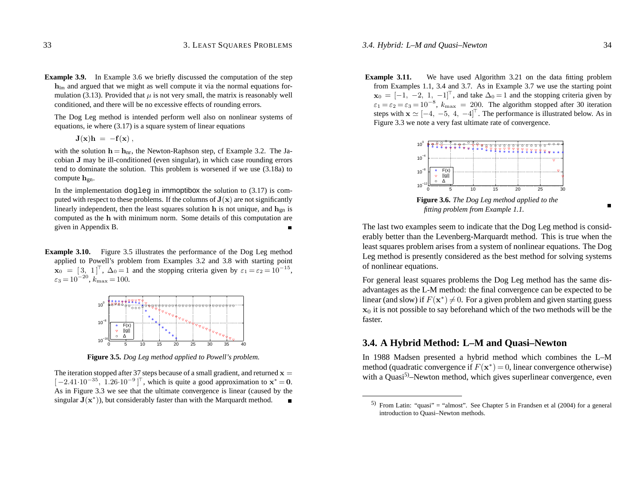#### *3.4. Hybrid: L–M and Quasi–Newton* 34

**Example 3.9.** In Example 3.6 we briefly discussed the computation of the step **h**lm and argued that we might as well compute it via the normal equations formulation (3.13). Provided that  $\mu$  is not very small, the matrix is reasonably well conditioned, and there will be no excessive effects of rounding errors.

The Dog Leg method is intended perform well also on nonlinear systems of equations, ie where (3.17) is <sup>a</sup> square system of linear equations

$$
\mathbf{J}(\mathbf{x})\mathbf{h} = -\mathbf{f}(\mathbf{x})\,,
$$

with the solution  $h = h_{nr}$ , the Newton-Raphson step, cf Example 3.2. The Jacobian **J** may be ill-conditioned (even singular), in which case rounding errors tend to dominate the solution. This problem is worsened if we use (3.18a) to compute  $h_{gn}$ .

In the implementation dogleg in immoptibox the solution to  $(3.17)$  is computed with respect to these problems. If the columns of  $J(x)$  are not significantly linearly independent, then the least squares solution **h** is not unique, and  $\mathbf{h}_{\text{on}}$  is computed as the **h** with minimum norm. Some details of this computation are given in Appendix B.  $\blacksquare$ 

**Example 3.10.** Figure 3.5 illustrates the performance of the Dog Leg method applied to Powell's problem from Examples 3.2 and 3.8 with starting point  $\mathbf{x}_0 = \begin{bmatrix} 3 \\ 1 \end{bmatrix}^T$ ,  $\Delta_0 = 1$  and the stopping criteria given by  $\varepsilon_1 = \varepsilon_2 = 10^{-15}$ ,  $\varepsilon_3 = 10^{-20}$ ,  $k_{\text{max}} = 100$ .



**Figure 3.5.** *Dog Leg method applied to Powell's problem.*

The iteration stopped after 37 steps because of a small gradient, and returned  $\mathbf{x} =$  $[-2.41 \cdot 10^{-35}, 1.26 \cdot 10^{-9}]^\top$ , which is quite a good approximation to  $x^* = 0$ . As in Figure 3.3 we see that the ultimate convergence is linear (caused by the singular  $J(x^*)$ ), but considerably faster than with the Marquardt method.  $\blacksquare$ 

**Example 3.11.** We have used Algorithm 3.21 on the data fitting problem from Examples 1.1, 3.4 and 3.7. As in Example 3.7 we use the starting point  $\mathbf{x}_0 = [-1, -2, 1, -1]^\top$ , and take  $\Delta_0 = 1$  and the stopping criteria given by  $\varepsilon_1 = \varepsilon_2 = \varepsilon_3 = 10^{-8}$ ,  $k_{\text{max}} = 200$ . The algorithm stopped after 30 iteration steps with  $\mathbf{x} \simeq [-4, -5, 4, -4]^\top$ . The performance is illustrated below. As in Figure 3.3 we note <sup>a</sup> very fast ultimate rate of convergence.



*fitting problem from Example 1.1.*

The last two examples seem to indicate that the Dog Leg method is considerably better than the Levenberg-Marquardt method. This is true when the least squares problem arises from <sup>a</sup> system of nonlinear equations. The Dog Leg method is presently considered as the best method for solving systems of nonlinear equations.

For general least squares problems the Dog Leg method has the same disadvantages as the L-M method: the final convergence can be expected to be linear (and slow) if  $F(\mathbf{x}^*) \neq 0$ . For a given problem and given starting guess **x**0 it is not possible to say beforehand which of the two methods will be the faster.

## **3.4. A Hybrid Method: L–M and Quasi–Newton**

In 1988 Madsen presented <sup>a</sup> hybrid method which combines the L–M method (quadratic convergence if  $F(\mathbf{x}^*)=0$ , linear convergence otherwise) with a Quasi<sup>5)</sup>–Newton method, which gives superlinear convergence, even

<sup>5)</sup> From Latin: "quasi" = "almost". See Chapter 5 in Frandsen et al  $(2004)$  for a general introduction to Quasi–Newton methods.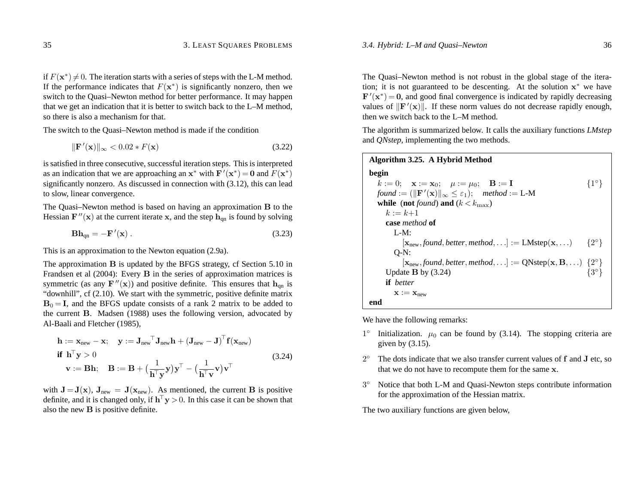#### *3.4. Hybrid: L–M and Quasi–Newton* 36

if  $F(\mathbf{x}^*) \neq 0.$  The iteration starts with a series of steps with the L-M method. If the performance indicates that  $F(\mathbf{x}^*)$  is significantly nonzero, then we switch to the Quasi–Newton method for better performance. It may happen that we ge<sup>t</sup> an indication that it is better to switch back to the L–M method, so there is also <sup>a</sup> mechanism for that.

The switch to the Quasi–Newton method is made if the condition

$$
\|\mathbf{F}'(\mathbf{x})\|_{\infty} < 0.02 \cdot F(\mathbf{x}) \tag{3.22}
$$

is satisfied in three consecutive, successful iteration steps. This is interpreted as an indication that we are approaching an  $\mathbf{x}^*$  with  $\mathbf{F}'(\mathbf{x}^*) = \mathbf{0}$  and  $F(\mathbf{x}^*)$ significantly nonzero. As discussed in connection with (3.12), this can lead to slow, linear convergence.

The Quasi–Newton method is based on having an approximation **B** to the Hessian  $\mathbf{F}''(\mathbf{x})$  at the current iterate **x**, and the step  $\mathbf{h}_{qn}$  is found by solving

$$
\mathbf{B}\mathbf{h}_{\mathrm{qn}} = -\mathbf{F}'(\mathbf{x})\,. \tag{3.23}
$$

This is an approximation to the Newton equation (2.9a).

The approximation **B** is updated by the BFGS strategy, cf Section 5.10 in Frandsen et al (2004): Every **B** in the series of approximation matrices is symmetric (as any  $\mathbf{F}''(\mathbf{x})$ ) and positive definite. This ensures that  $\mathbf{h}_{\text{on}}$  is "downhill", cf (2.10). We start with the symmetric, positive definite matrix  $B_0 = I$ , and the BFGS update consists of a rank 2 matrix to be added to the current **B**. Madsen (1988) uses the following version, advocated by Al-Baali and Fletcher (1985),

$$
\mathbf{h} := \mathbf{x}_{\text{new}} - \mathbf{x}; \quad \mathbf{y} := \mathbf{J}_{\text{new}}^\top \mathbf{J}_{\text{new}} \mathbf{h} + (\mathbf{J}_{\text{new}} - \mathbf{J})^\top \mathbf{f}(\mathbf{x}_{\text{new}})
$$
  
\n**if**  $\mathbf{h}^\top \mathbf{y} > 0$   
\n $\mathbf{v} := \mathbf{B} \mathbf{h}; \quad \mathbf{B} := \mathbf{B} + \left(\frac{1}{\mathbf{h}^\top \mathbf{y}} \mathbf{y}\right) \mathbf{y}^\top - \left(\frac{1}{\mathbf{h}^\top \mathbf{v}} \mathbf{v}\right) \mathbf{v}^\top$ \n(3.24)

with  $J = J(x)$ ,  $J_{new} = J(x_{new})$ . As mentioned, the current **B** is positive definite, and it is changed only, if  $h<sup>+</sup> y > 0$ . In this case it can be shown that also the new **B** is positive definite.

The Quasi–Newton method is not robust in the global stage of the iteration; it is not guaranteed to be descenting. At the solution  $x^*$  we have  $\mathbf{F}'(\mathbf{x}^*) = \mathbf{0}$ , and good final convergence is indicated by rapidly decreasing values of  $\|\mathbf{F}'(\mathbf{x})\|$ . If these norm values do not decrease rapidly enough, then we switch back to the L–M method.

The algorithm is summarized below. It calls the auxiliary functions *LMstep* and *QNstep*, implementing the two methods.

| Algorithm 3.25. A Hybrid Method                                                                                                                  |               |
|--------------------------------------------------------------------------------------------------------------------------------------------------|---------------|
| begin                                                                                                                                            |               |
| $k := 0;$ $\mathbf{x} := \mathbf{x}_0;$ $\mu := \mu_0;$ $\mathbf{B} := \mathbf{I}$                                                               | $\{1^\circ\}$ |
| found := $(  \mathbf{F}'(\mathbf{x})  _{\infty} \leq \varepsilon_1$ ; method := L-M                                                              |               |
| while (not found) and $(k < k_{\text{max}})$                                                                                                     |               |
| $k := k+1$                                                                                                                                       |               |
| case <i>method</i> of                                                                                                                            |               |
| $L-M:$                                                                                                                                           |               |
| $[\mathbf{x}_{\text{new}},$ found, better, method, ] := LMstep( $\mathbf{x}, \ldots$ )                                                           | $\{2^\circ\}$ |
| $O-N:$                                                                                                                                           |               |
| $[\mathbf{x}_{\text{new}}, \text{found}, \text{better}, \text{method}, \ldots] := QN \text{step}(\mathbf{x}, \mathbf{B}, \ldots) \{2^{\circ}\}\$ |               |
| Update $B$ by $(3.24)$                                                                                                                           | $\{3^\circ\}$ |
| <b>if</b> better                                                                                                                                 |               |
| $X := X_{new}$                                                                                                                                   |               |
| end                                                                                                                                              |               |

We have the following remarks:

- 1<sup>°</sup> Initialization.  $\mu_0$  can be found by (3.14). The stopping criteria are given by  $(3.15)$ .
- 2◦ The dots indicate that we also transfer current values of **f** and **J** etc, so that we do not have to recompute them for the same **<sup>x</sup>**.
- 3◦ Notice that both L-M and Quasi-Newton steps contribute information for the approximation of the Hessian matrix.

The two auxiliary functions are given below,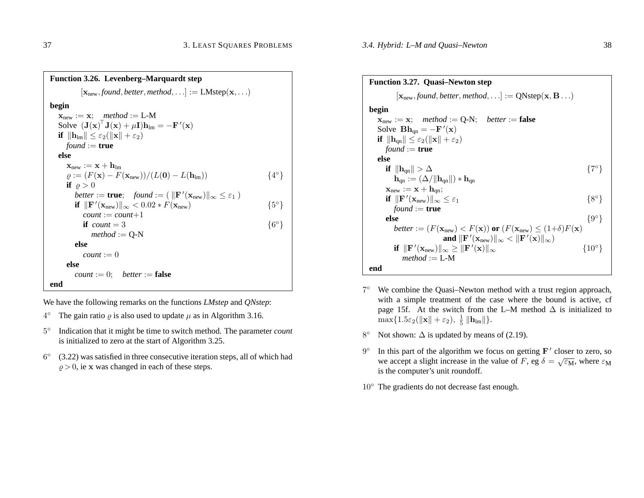| <b>Function 3.26. Levenberg–Marquardt step</b>                                                                              |               |
|-----------------------------------------------------------------------------------------------------------------------------|---------------|
| $[\mathbf{x}_{\text{new}}, \text{found}, \text{better}, \text{method}, \ldots] := \text{LMstep}(\mathbf{x}, \ldots)$        |               |
| begin                                                                                                                       |               |
| $\mathbf{x}_{\text{new}} := \mathbf{x}; \quad \text{method} := \text{L-M}$                                                  |               |
| Solve $(\mathbf{J}(\mathbf{x})^T \mathbf{J}(\mathbf{x}) + \mu \mathbf{I})\mathbf{h}_{\text{lm}} = -\mathbf{F}'(\mathbf{x})$ |               |
| if $\ \mathbf{h}_{\text{lm}}\  \leq \varepsilon_2(\ \mathbf{x}\  + \varepsilon_2)$                                          |               |
| $found := true$                                                                                                             |               |
| else                                                                                                                        |               |
| $\mathbf{x}_{\text{new}} := \mathbf{x} + \mathbf{h}_{\text{lm}}$                                                            |               |
| $\rho := (F(\mathbf{x}) - F(\mathbf{x}_{new})) / (L(\mathbf{0}) - L(\mathbf{h}_{lm}))$                                      | $\{4^\circ\}$ |
| if $\rho > 0$                                                                                                               |               |
| <i>better</i> := <b>true</b> ; <i>found</i> := $(\ \mathbf{F}'(\mathbf{x}_{new})\ _{\infty} \leq \varepsilon_1)$            |               |
| if $\ \mathbf{F}'(\mathbf{x}_{\text{new}})\ _{\infty} < 0.02 * F(\mathbf{x}_{\text{new}})$                                  | $\{5^\circ\}$ |
| $count := count + 1$                                                                                                        |               |
| <b>if</b> count $=$ 3                                                                                                       | ${6^{\circ}}$ |
| $method := Q-N$                                                                                                             |               |
| else                                                                                                                        |               |
| $count := 0$                                                                                                                |               |
| else                                                                                                                        |               |
| <i>count</i> := 0; <i>better</i> := <b>false</b>                                                                            |               |
| end                                                                                                                         |               |

We have the following remarks on the functions *LMstep* and *QNstep*:

- $4^\circ$  The gain ratio  $\varrho$  is also used to update  $\mu$  as in Algorithm 3.16.
- 5◦ Indication that it might be time to switch method. The parameter *count* is initialized to zero at the start of Algorithm 3.25.
- $6°$  (3.22) was satisfied in three consecutive iteration steps, all of which had  $\rho > 0$ , ie x was changed in each of these steps.

### **Function 3.27. Quasi–Newton step**  $[\mathbf{x}_{\text{new}}, \text{found}, \text{better}, \text{method}, \ldots] := \text{QNstep}(\mathbf{x}, \mathbf{B} \ldots)$ **begin**  $\mathbf{x}_{\text{new}} := \mathbf{x}; \quad \text{method} := \mathbf{Q}\text{-}\mathbf{N}; \quad \text{better} := \mathbf{false}$ Solve  $\mathbf{B}\mathbf{h}_{qn} = -\mathbf{F}'(\mathbf{x})$  $\textbf{if} \ \|\textbf{h}_{\text{qn}}\| \leq \varepsilon_2(\|\textbf{x}\| + \varepsilon_2)$  $found := true$ **else** $\textbf{if} \hspace{0.2cm} \|\textbf{h}_{\text{qn}}\| > \Delta$  $\Delta$  {7°}  $\mathbf{h}_{\text{on}} := (\Delta / ||\mathbf{h}_{\text{on}}||) * \mathbf{h}_{\text{on}}$  $\mathbf{x}_{\rm new} := \mathbf{x} + \mathbf{h}_{\rm qn};$  $\textbf{if} \ \|\textbf{F}'(\textbf{x}_{\rm new})\|_\infty \leq \varepsilon_1$  *found* := **true** {8◦} **else** ${e}$  {9°}  $b$ etter :=  $(F(\mathbf{x}_{\text{new}}) < F(\mathbf{x}))$  or  $(F(\mathbf{x}_{\text{new}}) \leq (1+\delta)F(\mathbf{x}))$  $\mathbf{and} \ \|\mathbf{F}'(\mathbf{x}_{\text{new}})\|_{\infty} < \|\mathbf{F}'(\mathbf{x})\|_{\infty}$  $\textbf{if} \ \ \|\textbf{F}'(\textbf{x}_{\rm new})\|_\infty \geq \|\textbf{F}'(\textbf{x})\|_\infty$  $\{10^\circ\}$ *method* := L-M**end**

- 7◦ We combine the Quasi–Newton method with <sup>a</sup> trust region approach, with <sup>a</sup> simple treatment of the case where the bound is active, cf page 15f. At the switch from the L–M method  $\Delta$  is initialized to  $\max\{1.5\varepsilon_2(\|\mathbf{x}\| + \varepsilon_2), \frac{1}{5}\|\mathbf{h}_\text{lm}\|\}.$
- 8 $^{\circ}$  Not shown:  $\Delta$  is updated by means of (2.19).
- 9<sup>°</sup> In this part of the algorithm we focus on getting **F**<sup>*'*</sup> closer to zero, so we accept a slight increase in the value of F, eg  $\delta = \sqrt{\varepsilon_M}$ , where  $\varepsilon_M$ is the computer's unit roundoff.
- 10◦ The gradients do not decrease fast enough.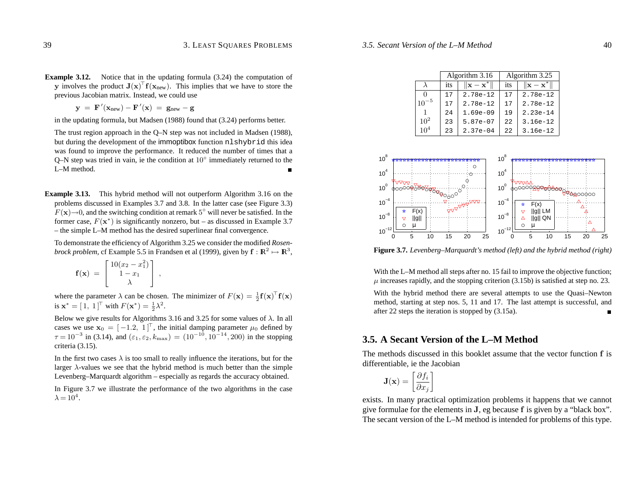**y** involves the product  $J(x)$ <sup>T</sup>  $f(x_{new})$ . This implies that we have to store the previous Jacobian matrix. Instead, we could use

 ${\bf y} = {\bf F}'({\bf x}_{\rm new}) - {\bf F}'({\bf x}) = {\bf g}_{\rm new} - {\bf g}$ 

in the updating formula, but Madsen (1988) found that (3.24) performs better.

The trust region approach in the Q–N step was not included in Madsen (1988), but during the development of the immoptibox function nlshybrid this idea was found to improve the performance. It reduced the number of times that <sup>a</sup> Q–N step was tried in vain, ie the condition at 10◦ immediately returned to the L–M method.

**Example 3.13.** This hybrid method will not outperform Algorithm 3.16 on the problems discussed in Examples 3.7 and 3.8. In the latter case (see Figure 3.3)  $F(\mathbf{x})\rightarrow 0$ , and the switching condition at remark 5° will never be satisfied. In the former case, *<sup>F</sup>*(**x**<sup>∗</sup>) is significantly nonzero, but – as discussed in Example 3.7 – the simple L–M method has the desired superlinear final convergence.

To demonstrate the efficiency of Algorithm 3.25 we consider the modified *Rosenbrock problem,* cf Example 5.5 in Frandsen et al (1999), given by  $f: \mathbb{R}^2 \mapsto \mathbb{R}^3$ ,

$$
\mathbf{f}(\mathbf{x}) = \begin{bmatrix} 10(x_2 - x_1^2) \\ 1 - x_1 \\ \lambda \end{bmatrix},
$$

where the parameter  $\lambda$  can be chosen. The minimizer of  $F(\mathbf{x}) = \frac{1}{2} \mathbf{f}(\mathbf{x})^{\top} \mathbf{f}(\mathbf{x})$ is  $\mathbf{x}^* = [1, 1]^T$  with  $F(\mathbf{x}^*) = \frac{1}{2}\lambda^2$ .

Below we give results for Algorithms 3.16 and 3.25 for some values of *λ*. In all cases we use  $\mathbf{x}_0 = \begin{bmatrix} -1.2 \\ 1 \end{bmatrix}$ , the initial damping parameter  $\mu_0$  defined by  $\tau = 10^{-3}$  in (3.14), and  $(\epsilon_1, \epsilon_2, k_{\text{max}}) = (10^{-10}, 10^{-14}, 200)$  in the stopping criteria (3.15).

In the first two cases*λ* is too small to really influence the iterations, but for the larger *λ*-values we see that the hybrid method is much better than the simple Levenberg–Marquardt algorithm – especially as regards the accuracy obtained.

In Figure 3.7 we illustrate the performance of the two algorithms in the case  $\lambda = 10^4$ .

|                 |     | Algorithm 3.16                  | Algorithm 3.25 |                               |
|-----------------|-----|---------------------------------|----------------|-------------------------------|
|                 | its | $\ \mathbf{x} - \mathbf{x}^*\ $ | its            | $\ \mathbf{x}-\mathbf{x}^*\ $ |
|                 | 17  | $2.78e-12$                      | 17             | $2.78e-12$                    |
| $10^{-5}$       | 17  | $2.78e-12$                      | 17             | $2.78e-12$                    |
|                 | 24  | $1.69e-09$                      | 19             | $2.23e-14$                    |
| $10^{2}$        | 23  | 5.87e-07                        | 22             | $3.16e-12$                    |
| 10 <sup>4</sup> | 23  | $2.37e-04$                      | 22.2           | $3.16e-12$                    |



**Figure 3.7.** *Levenberg–Marquardt's method (left) and the hybrid method (right)*

With the L–M method all steps after no. 15 fail to improve the objective function;  $\mu$  increases rapidly, and the stopping criterion (3.15b) is satisfied at step no. 23.

With the hybrid method there are several attempts to use the Quasi–Newton method, starting at step nos. 5, 11 and 17. The last attempt is successful, and after 22 steps the iteration is stopped by (3.15a).

## **3.5. A Secant Version of the L–M Method**

The methods discussed in this booklet assume that the vector function **f** is differentiable, ie the Jacobian

$$
\mathbf{J}(\mathbf{x}) = \left[ \frac{\partial f_i}{\partial x_j} \right]
$$

exists. In many practical optimization problems it happens that we cannot give formulae for the elements in **J**, eg because **f** is given by <sup>a</sup> "black box". The secant version of the L–M method is intended for problems of this type.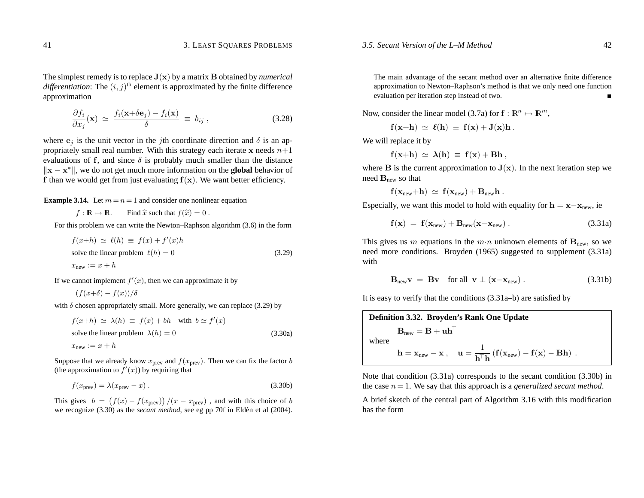The simplest remedy is to replace  $J(x)$  by a matrix **B** obtained by *numerical differentiation*: The  $(i, j)$ <sup>th</sup> element is approximated by the finite difference approximation

$$
\frac{\partial f_i}{\partial x_j}(\mathbf{x}) \simeq \frac{f_i(\mathbf{x} + \delta \mathbf{e}_j) - f_i(\mathbf{x})}{\delta} \equiv b_{ij} , \qquad (3.28)
$$

where  $e_j$  is the unit vector in the *j*th coordinate direction and  $\delta$  is an appropriately small real number. With this strategy each iterate **x** needs  $n+1$ evaluations of **f**, and since *δ* is probably much smaller than the distance  $\|\mathbf{x} - \mathbf{x}^*\|$ , we do not get much more information on the **global** behavior of **f** than we would ge<sup>t</sup> from just evaluating **f**(**x**). We want better efficiency.

**Example 3.14.** Let  $m = n = 1$  and consider one nonlinear equation

 $f: \mathbb{R} \mapsto \mathbb{R}$ . Find  $\hat{x}$  such that  $f(\hat{x})=0$ .

For this problem we can write the Newton–Raphson algorithm (3.6) in the form

$$
f(x+h) \simeq \ell(h) \equiv f(x) + f'(x)h
$$
  
solve the linear problem  $\ell(h) = 0$  (3.29)  
 $x_{\text{new}} := x + h$ 

If we cannot implement  $f'(x)$ , then we can approximate it by

$$
(f(x+\delta) - f(x))/\delta
$$

with *δ* chosen appropriately small. More generally, we can replace (3.29) by

$$
f(x+h) \simeq \lambda(h) \equiv f(x) + bh \quad \text{with} \quad b \simeq f'(x)
$$
  
solve the linear problem  $\lambda(h) = 0$  (3.30a)  
 $x_{\text{new}} := x + h$ 

Suppose that we already know  $x_{prev}$  and  $f(x_{prev})$ . Then we can fix the factor *b* (the approximation to  $f'(x)$ ) by requiring that

$$
f(x_{\text{prev}}) = \lambda(x_{\text{prev}} - x) \,. \tag{3.30b}
$$

This gives  $b = (f(x) - f(x_{prev})) / (x - x_{prev})$ , and with this choice of *b* we recognize (3.30) as the *secant method*, see eg pp 70f in Eldén et al (2004).

The main advantage of the secant method over an alternative finite difference approximation to Newton–Raphson's method is that we only need one function evaluation per iteration step instead of two.

Now, consider the linear model (3.7a) for  $f : \mathbb{R}^n \mapsto \mathbb{R}^m$ ,

$$
\mathbf{f}(\mathbf{x}+\mathbf{h}) \; \simeq \; \boldsymbol{\ell}(\mathbf{h}) \; \equiv \; \mathbf{f}(\mathbf{x}) + \mathbf{J}(\mathbf{x})\mathbf{h} \; .
$$

We will replace it by

$$
\mathbf{f}(\mathbf{x}+\mathbf{h}) \; \simeq \; \boldsymbol{\lambda}(\mathbf{h}) \; \equiv \; \mathbf{f}(\mathbf{x}) + \mathbf{B}\mathbf{h} \; ,
$$

where  $\bf{B}$  is the current approximation to  $\bf{J}(\bf{x})$ . In the next iteration step we need  $\mathbf{B}_{\text{new}}$  so that

$$
f(x_{new}+h) \ \simeq \ f(x_{new}) + B_{new}h \ .
$$

Especially, we want this model to hold with equality for  $h = x - x_{\text{new}}$ , ie

$$
\mathbf{f}(\mathbf{x}) = \mathbf{f}(\mathbf{x}_{new}) + \mathbf{B}_{new}(\mathbf{x} - \mathbf{x}_{new}). \qquad (3.31a)
$$

This gives us *m* equations in the  $m \cdot n$  unknown elements of  $B_{\text{new}}$ , so we need more conditions. Broyden (1965) suggested to supplement (3.31a) with

$$
\mathbf{B}_{\text{new}}\mathbf{v} = \mathbf{B}\mathbf{v} \quad \text{for all} \quad \mathbf{v} \perp (\mathbf{x} - \mathbf{x}_{\text{new}}) \,. \tag{3.31b}
$$

It is easy to verify that the conditions (3.31a–b) are satisfied by

**Definition 3.32. Broyden's Rank One Update**  
\n
$$
\mathbf{B}_{new} = \mathbf{B} + \mathbf{u}\mathbf{h}^{\top}
$$
\nwhere  
\n
$$
\mathbf{h} = \mathbf{x}_{new} - \mathbf{x}, \quad \mathbf{u} = \frac{1}{\mathbf{h}^{\top} \mathbf{h}} \left( \mathbf{f}(\mathbf{x}_{new}) - \mathbf{f}(\mathbf{x}) - \mathbf{B} \mathbf{h} \right).
$$

Note that condition (3.31a) corresponds to the secant condition (3.30b) in the case *n* <sup>=</sup> 1. We say that this approach is <sup>a</sup> *generalized secant method*.

A brief sketch of the central par<sup>t</sup> of Algorithm 3.16 with this modification has the form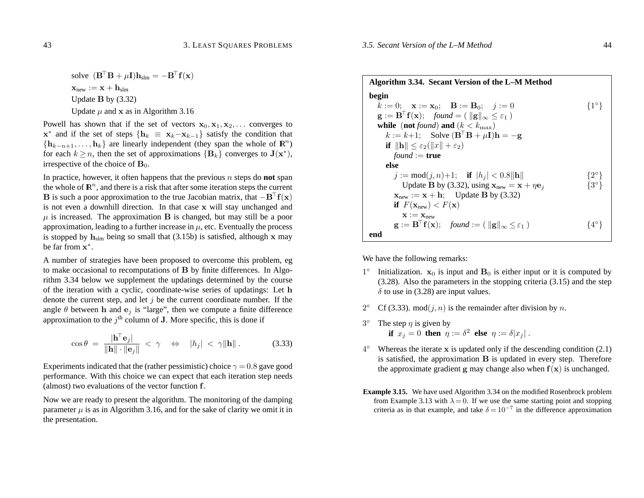## solve  $(\mathbf{B}^{\top}\mathbf{B} + \mu \mathbf{I})\mathbf{h}_{\text{slm}} = -\mathbf{B}^{\top}\mathbf{f}(\mathbf{x})$  $\mathbf{x}_{\rm new} := \mathbf{x} + \mathbf{h}_{\rm slim}$ Update **B** by (3.32) Update  $\mu$  and  $x$  as in Algorithm 3.16

Powell has shown that if the set of vectors  $x_0, x_1, x_2, \ldots$  converges to **x**<sup>\*</sup> and if the set of steps  $\{h_k \equiv x_k - x_{k-1}\}$  satisfy the condition that  ${\bf h}_{k-n+1}, \ldots, {\bf h}_k$  are linearly independent (they span the whole of  ${\bf R}^n$ ) for each  $k \geq n$ , then the set of approximations  ${B_k}$  converges to  $J(x^*)$ , irrespective of the choice of  $\mathbf{B}_0$ .

In practice, however, it often happens that the previous *n* steps do **not** span the whole of  $\mathbb{R}^n$ , and there is a risk that after some iteration steps the current **B** is such a poor approximation to the true Jacobian matrix, that  $-\mathbf{B}^{\top}\mathbf{f}(\mathbf{x})$ is not even <sup>a</sup> downhill direction. In that case **x** will stay unchanged and  $\mu$  is increased. The approximation **B** is changed, but may still be a poor approximation, leading to a further increase in  $\mu$ , etc. Eventually the process is stopped by **h**slm being so small that (3.15b) is satisfied, although **x** may be far from**<sup>x</sup>**<sup>∗</sup>.

A number of strategies have been proposed to overcome this problem, eg to make occasional to recomputations of **B** by finite differences. In Algorithm 3.34 below we supplement the updatings determined by the course of the iteration with <sup>a</sup> cyclic, coordinate-wise series of updatings: Let **h** denote the current step, and let *j* be the current coordinate number. If the angle  $\theta$  between **h** and  $e_j$  is "large", then we compute a finite difference approximation to the  $j<sup>th</sup>$  column of **J**. More specific, this is done if

$$
\cos \theta = \frac{|\mathbf{h}^{\top} \mathbf{e}_j|}{\|\mathbf{h}\| \cdot \|\mathbf{e}_j\|} < \gamma \quad \Leftrightarrow \quad |h_j| < \gamma \|\mathbf{h}\| \,. \tag{3.33}
$$

Experiments indicated that the (rather pessimistic) choice *γ* <sup>=</sup> 0*.*8 gave good performance. With this choice we can expec<sup>t</sup> that each iteration step needs (almost) two evaluations of the vector function **f**.

Now we are ready to presen<sup>t</sup> the algorithm. The monitoring of the damping parameter  $\mu$  is as in Algorithm 3.16, and for the sake of clarity we omit it in the presentation.

| Algorithm 3.34. Secant Version of the L-M Method                                                                             |               |  |  |  |
|------------------------------------------------------------------------------------------------------------------------------|---------------|--|--|--|
| begin                                                                                                                        |               |  |  |  |
| $k := 0$ ; $\mathbf{x} := \mathbf{x}_0$ ; $\mathbf{B} := \mathbf{B}_0$ ; $i := 0$                                            | $\{1^\circ\}$ |  |  |  |
| $\mathbf{g} := \mathbf{B}^\dagger \mathbf{f}(\mathbf{x}); \quad \text{found} = (\ \mathbf{g}\ _{\infty} \leq \varepsilon_1)$ |               |  |  |  |
| while (not found) and $(k < k_{\text{max}})$                                                                                 |               |  |  |  |
| $k := k+1$ ; Solve $(\mathbf{B}^{\top} \mathbf{B} + \mu \mathbf{I})\mathbf{h} = -\mathbf{g}$                                 |               |  |  |  |
| if $\ \mathbf{h}\  \leq \varepsilon_2(\ x\  + \varepsilon_2)$                                                                |               |  |  |  |
| <i>found</i> := <b>true</b>                                                                                                  |               |  |  |  |
| else                                                                                                                         |               |  |  |  |
| $j := \text{mod}(j, n) + 1;$ if $ h_j  < 0.8   h  $                                                                          | $\{2^\circ\}$ |  |  |  |
| Update B by (3.32), using $\mathbf{x}_{new} = \mathbf{x} + \eta \mathbf{e}_i$                                                | $\{3^\circ\}$ |  |  |  |
| $\mathbf{x}_{\text{new}} := \mathbf{x} + \mathbf{h}$ ; Update B by (3.32)                                                    |               |  |  |  |
| if $F(\mathbf{x}_{new}) < F(\mathbf{x})$                                                                                     |               |  |  |  |
| $X := X_{new}$                                                                                                               |               |  |  |  |
| $\mathbf{g} := \mathbf{B}^{\top} \mathbf{f}(\mathbf{x}); \quad \text{found} := (\ \mathbf{g}\ _{\infty} \leq \varepsilon_1)$ | 44° }         |  |  |  |
| end                                                                                                                          |               |  |  |  |

We have the following remarks:

- 1<sup>°</sup> Initialization.  $x_0$  is input and  $B_0$  is either input or it is computed by (3.28). Also the parameters in the stopping criteria (3.15) and the step  $\delta$  to use in (3.28) are input values.
- 2° Cf (3.33). mod $(j, n)$  is the remainder after division by *n*.
- 3<sup>°</sup> The step  $\eta$  is given by **if**  $x_j = 0$  **then**  $\eta := \delta^2$  **else**  $\eta := \delta |x_j|$ .
- 4◦ Whereas the iterate **x** is updated only if the descending condition (2.1) is satisfied, the approximation **B** is updated in every step. Therefore the approximate gradient **<sup>g</sup>** may change also when **f**(**x**) is unchanged.
- **Example 3.15.** We have used Algorithm 3.34 on the modified Rosenbrock problem from Example 3.13 with  $\lambda = 0$ . If we use the same starting point and stopping criteria as in that example, and take  $\delta = 10^{-7}$  in the difference approximation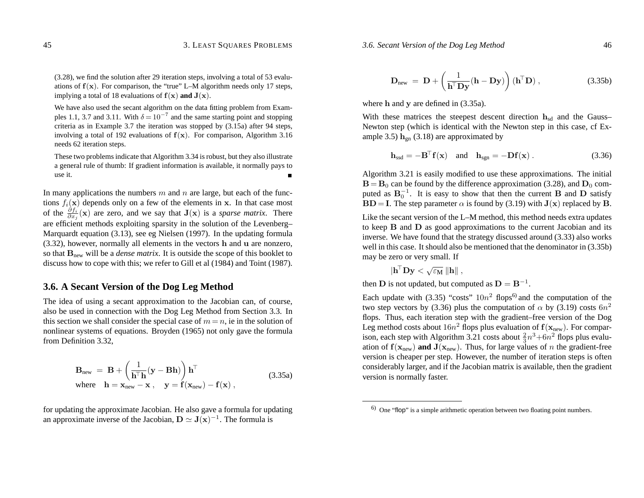#### *3.6. Secant Version of the Dog Leg Method* 46

(3.28), we find the solution after 29 iteration steps, involving <sup>a</sup> total of 53 evaluations of **f** (**x**). For comparison, the "true" L–M algorithm needs only <sup>17</sup> steps, implying <sup>a</sup> total of <sup>18</sup> evaluations of **f** (**x**) **and <sup>J</sup>**(**x**).

We have also used the secant algorithm on the data fitting problem from Examples 1.1, 3.7 and 3.11. With  $\delta = 10^{-7}$  and the same starting point and stopping criteria as in Example 3.7 the iteration was stopped by (3.15a) after 94 steps, involving a total of 192 evaluations of  $f(x)$ . For comparison, Algorithm 3.16 needs 62 iteration steps.

These two problems indicate that Algorithm 3.34 is robust, but they also illustrate <sup>a</sup> general rule of thumb: If gradient information is available, it normally pays to use it.

In many applications the numbers *m* and *n* are large, but each of the functions  $f_i(\mathbf{x})$  depends only on a few of the elements in  $\mathbf{x}$ . In that case most of the  $\frac{\partial f_i}{\partial x_j}(\mathbf{x})$  are zero, and we say that  $\mathbf{J}(\mathbf{x})$  is a *sparse matrix*. There are efficient methods exploiting sparsity in the solution of the Levenberg– Marquardt equation (3.13), see eg Nielsen (1997). In the updating formula (3.32), however, normally all elements in the vectors **h** and **u** are nonzero, so that **B**new will be <sup>a</sup> *dense matrix*. It is outside the scope of this booklet to discuss how to cope with this; we refer to Gill et al (1984) and Toint (1987).

## **3.6. A Secant Version of the Dog Leg Method**

The idea of using <sup>a</sup> secant approximation to the Jacobian can, of course, also be used in connection with the Dog Leg Method from Section 3.3. In this section we shall consider the special case of  $m = n$ , ie in the solution of nonlinear systems of equations. Broyden (1965) not only gave the formula from Definition 3.32,

$$
\mathbf{B}_{\text{new}} = \mathbf{B} + \left(\frac{1}{\mathbf{h}^{\top}\mathbf{h}}(\mathbf{y} - \mathbf{B}\mathbf{h})\right)\mathbf{h}^{\top}
$$
  
where  $\mathbf{h} = \mathbf{x}_{\text{new}} - \mathbf{x}$ ,  $\mathbf{y} = \mathbf{f}(\mathbf{x}_{\text{new}}) - \mathbf{f}(\mathbf{x})$ , (3.35a)

for updating the approximate Jacobian. He also gave <sup>a</sup> formula for updating an approximate inverse of the Jacobian, **D**'**<sup>J</sup>**(**x**)−1. The formula is

$$
\mathbf{D}_{\text{new}} = \mathbf{D} + \left(\frac{1}{\mathbf{h}^{\top} \mathbf{D} \mathbf{y}} (\mathbf{h} - \mathbf{D} \mathbf{y})\right) (\mathbf{h}^{\top} \mathbf{D}), \qquad (3.35b)
$$

where **h** and **y** are defined in (3.35a).

With these matrices the steepest descent direction  $h_{sd}$  and the Gauss– Newton step (which is identical with the Newton step in this case, cf Example 3.5)  $h_{gn}$  (3.18) are approximated by

 $h_{ssd} = -B^{\top}f(x)$  and  $h_{sgn} = -Df(x)$ . (3.36)

Algorithm 3.21 is easily modified to use these approximations. The initial  **can be found by the difference approximation (3.28), and**  $**D**<sub>0</sub>$  **com**puted as  $B_0^{-1}$ . It is easy to show that then the current **B** and **D** satisfy **BD** = **I**. The step parameter  $\alpha$  is found by (3.19) with  $J(x)$  replaced by **B**.

Like the secant version of the L–M method, this method needs extra updates to keep **B** and **D** as good approximations to the current Jacobian and its inverse. We have found that the strategy discussed around (3.33) also works well in this case. It should also be mentioned that the denominator in (3.35b) may be zero or very small. If

$$
|\mathbf{h}^{\!\top} \mathbf{D} \mathbf{y} < \sqrt{\varepsilon_\mathbf{M}} \, \|\mathbf{h}\| \;,
$$

then  $\mathbf{D}$  is not updated, but computed as  $\mathbf{D} = \mathbf{B}^{-1}$ .

Each update with (3.35) "costs"  $10n^2$  flops<sup>6)</sup> and the computation of the two step vectors by (3.36) plus the computation of  $\alpha$  by (3.19) costs  $6n^2$ flops. Thus, each iteration step with the gradient–free version of the Dog Leg method costs about  $16n^2$  flops plus evaluation of  $\mathbf{f}(\mathbf{x}_{\rm new})$ . For comparison, each step with Algorithm 3.21 costs about  $\frac{2}{3}n^3 + 6n^2$  flops plus evaluation of  $f(x_{\text{new}})$  and  $J(x_{\text{new}})$ . Thus, for large values of *n* the gradient-free version is cheaper per step. However, the number of iteration steps is often considerably larger, and if the Jacobian matrix is available, then the gradient version is normally faster.

 $6)$  One "flop" is a simple arithmetic operation between two floating point numbers.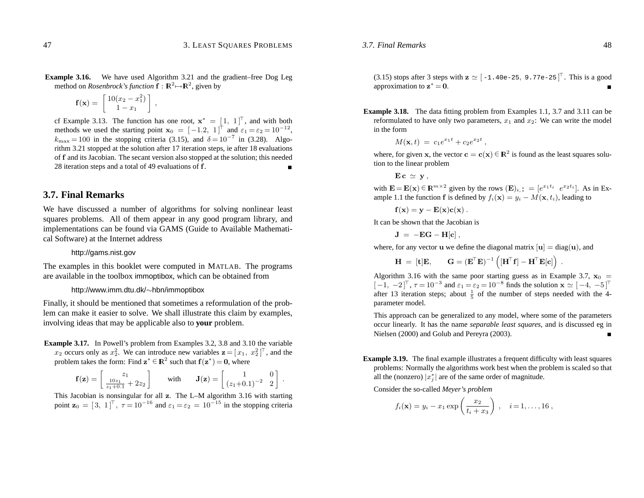**Example 3.16.** We have used Algorithm 3.21 and the gradient–free Dog Leg method on *Rosenbrock's function*  $f : \mathbb{R}^2 \rightarrow \mathbb{R}^2$ , given by

$$
\mathbf{f}(\mathbf{x}) = \begin{bmatrix} 10(x_2 - x_1^2) \\ 1 - x_1 \end{bmatrix},
$$

of Example 3.13. The function has one root,  $\mathbf{x}^* = \begin{bmatrix} 1 \\ 1 \end{bmatrix}^T$ , and with both methods we used the starting point  $\mathbf{x}_0 = \begin{bmatrix} -1.2 \\ 1 \end{bmatrix}^T$  and  $\varepsilon_1 = \varepsilon_2 = 10^{-12}$ ,  $k_{\text{max}} = 100$  in the stopping criteria (3.15), and  $\delta = 10^{-7}$  in (3.28). Algorithm 3.21 stopped at the solution after 17 iteration steps, ie after 18 evaluations of **f** and its Jacobian. The secant version also stopped at the solution; this needed 28 iteration steps and <sup>a</sup> total of 49 evaluations of **f**.

## **3.7. Final Remarks**

We have discussed <sup>a</sup> number of algorithms for solving nonlinear least squares problems. All of them appear in any good program library, and implementations can be found via GAMS (Guide to Available Mathematical Software) at the Internet address

http://gams.nist.gov

The examples in this booklet were computed in MATLAB. The programs are available in the toolbox immoptibox, which can be obtained from

#### http://www.imm.dtu.dk/ <sup>∼</sup>hbn/immoptibox

Finally, it should be mentioned that sometimes <sup>a</sup> reformulation of the problem can make it easier to solve. We shall illustrate this claim by examples, involving ideas that may be applicable also to **your** problem.

**Example 3.17.** In Powell's problem from Examples 3.2, 3.8 and 3.10 the variable  $x_2$  occurs only as  $x_2^2$ . We can introduce new variables  $\mathbf{z} = [x_1, x_2^2]^\top$ , and the problem takes the form: Find  $z^* \in \mathbb{R}^2$  such that  $f(z^*) = 0$ , where

$$
\mathbf{f}(\mathbf{z}) = \begin{bmatrix} z_1 \\ \frac{10z_1}{z_1 + 0.1} + 2z_2 \end{bmatrix} \quad \text{with} \quad \mathbf{J}(\mathbf{z}) = \begin{bmatrix} 1 & 0 \\ (z_1 + 0.1)^{-2} & 2 \end{bmatrix}
$$

This Jacobian is nonsingular for all **<sup>z</sup>**. The L–M algorithm 3.16 with starting point  $\mathbf{z}_0 = [3, 1]^\top$ ,  $\tau = 10^{-16}$  and  $\varepsilon_1 = \varepsilon_2 = 10^{-15}$  in the stopping criteria

(3.15) stops after 3 steps with  $\mathbf{z} \simeq [-1.40e-25, 9.77e-25]^\top$ . This is a good approximation to  $\mathbf{z}^*=\mathbf{0}$ .

**Example 3.18.** The data fitting problem from Examples 1.1, 3.7 and 3.11 can be reformulated to have only two parameters, *x*1 and *<sup>x</sup>*2: We can write the model in the form

$$
M(\mathbf{x},t) = c_1 e^{x_1 t} + c_2 e^{x_2 t},
$$

where, for given **x**, the vector  $\mathbf{c} = \mathbf{c}(\mathbf{x}) \in \mathbb{R}^2$  is found as the least squares solution to the linear problem

 $\mathbf{E} \, \mathbf{c} \, \simeq \, \mathbf{y} \, ,$ 

*3.7. Final Remarks*

with  $\mathbf{E} = \mathbf{E}(\mathbf{x}) \in \mathbb{R}^{m \times 2}$  given by the rows  $(\mathbf{E})_{i,:} = [e^{x_1 t_i} \ e^{x_2 t_i}]$ . As in Example 1.1 the function **f** is defined by  $f_i(\mathbf{x}) = y_i - M(\mathbf{x}, t_i)$ , leading to

$$
\mathbf{f}(\mathbf{x}) = \mathbf{y} - \mathbf{E}(\mathbf{x})\mathbf{c}(\mathbf{x})\ .
$$

It can be shown that the Jacobian is

$$
\mathbf{J} \; = \; -\mathbf{E}\mathbf{G} - \mathbf{H}[\mathbf{c}] \; ,
$$

where, for any vector **u** we define the diagonal matrix  $[\mathbf{u}] = \text{diag}(\mathbf{u})$ , and

 $\mathbf{H} \ = \ [\mathbf{t}]\mathbf{E}, \qquad \mathbf{G} = (\mathbf{E}^\top \mathbf{E})^{-1} \left( [\mathbf{H}^\top \mathbf{f}] - \mathbf{H}^\top \mathbf{E}[\mathbf{c}] \right) \ .$ 

Algorithm 3.16 with the same poor starting guess as in Example 3.7,  $x_0 =$  $[-1, -2]^\top$ ,  $\tau = 10^{-3}$  and  $\varepsilon_1 = \varepsilon_2 = 10^{-8}$  finds the solution  $\mathbf{x} \simeq [-4, -5]^\top$ after 13 iteration steps; about  $\frac{1}{5}$  of the number of steps needed with the 4parameter model.

This approach can be generalized to any model, where some of the parameters occur linearly. It has the name *separable least squares*, and is discussed eg in Nielsen (2000) and Golub and Pereyra (2003).

**Example 3.19.** The final example illustrates <sup>a</sup> frequent difficulty with least squares problems: Normally the algorithms work best when the problem is scaled so that all the (nonzero)  $|x_j^*|$  are of the same order of magnitude.

Consider the so-called *Meyer's problem*

$$
f_i(\mathbf{x}) = y_i - x_1 \exp\left(\frac{x_2}{t_i + x_3}\right), \quad i = 1, ..., 16
$$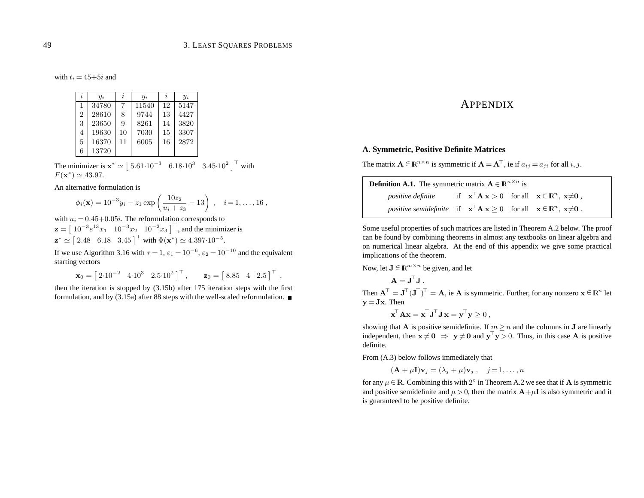with  $t_i = 45+5i$  and

| i              | $y_i$ | i  | $y_i$ | i  | $y_i$ |
|----------------|-------|----|-------|----|-------|
| $\mathbf{1}$   | 34780 | 7  | 11540 | 12 | 5147  |
| $\overline{2}$ | 28610 | 8  | 9744  | 13 | 4427  |
| 3              | 23650 | 9  | 8261  | 14 | 3820  |
| 4              | 19630 | 10 | 7030  | 15 | 3307  |
| 5              | 16370 | 11 | 6005  | 16 | 2872  |
| 6              | 13720 |    |       |    |       |

The minimizer is  $x^* \simeq [5.61 \cdot 10^{-3} \quad 6.18 \cdot 10^3 \quad 3.45 \cdot 10^2]^\top$  with  $F(\mathbf{x}^*) \simeq 43.97.$ 

An alternative formulation is

$$
\phi_i(\mathbf{x}) = 10^{-3} y_i - z_1 \exp\left(\frac{10z_2}{u_i + z_3} - 13\right), \quad i = 1, \dots, 16,
$$

with  $u_i = 0.45 + 0.05i$ . The reformulation corresponds to  $\mathbf{z} = \begin{bmatrix} 10^{-3}e^{13}x_1 & 10^{-3}x_2 & 10^{-2}x_3 \end{bmatrix}^{\top}$ , and the minimizer is  $\mathbf{z}^* \simeq [2.48 \quad 6.18 \quad 3.45]^\top$  with  $\Phi(\mathbf{x}^*) \simeq 4.397 \cdot 10^{-5}$ .

If we use Algorithm 3.16 with  $\tau = 1$ ,  $\varepsilon_1 = 10^{-6}$ ,  $\varepsilon_2 = 10^{-10}$  and the equivalent starting vectors

 $\mathbf{x}_0 = \begin{bmatrix} 2{\cdot}10^{-2} & 4{\cdot}10^3 & 2{.}5{\cdot}10^2 \end{bmatrix}^\top, \qquad \mathbf{z}_0 = \begin{bmatrix} 8{.}85 & 4 & 2{.}5 \end{bmatrix}^\top,$ 

then the iteration is stopped by (3.15b) after 175 iteration steps with the first formulation, and by (3.15a) after 88 steps with the well-scaled reformulation.  $\blacksquare$ 

## APPENDIX

### **A. Symmetric, Positive Definite Matrices**

The matrix  $\mathbf{A} \in \mathbb{R}^{n \times n}$  is symmetric if  $\mathbf{A} = \mathbf{A}^{\top}$ , ie if  $a_{ij} = a_{ji}$  for all *i*, *j*.

| <b>Definition A.1.</b> The symmetric matrix $A \in \mathbb{R}^{n \times n}$ is                                                                            |  |  |  |  |  |
|-----------------------------------------------------------------------------------------------------------------------------------------------------------|--|--|--|--|--|
| <i>positive definite</i> if $\mathbf{x}^{\top} \mathbf{A} \mathbf{x} > 0$ for all $\mathbf{x} \in \mathbb{R}^{n}$ , $\mathbf{x} \neq \mathbf{0}$ ,        |  |  |  |  |  |
| <i>positive semidefinite</i> if $\mathbf{x}^{\top} \mathbf{A} \mathbf{x} \geq 0$ for all $\mathbf{x} \in \mathbb{R}^{n}$ , $\mathbf{x} \neq \mathbf{0}$ . |  |  |  |  |  |

Some useful properties of such matrices are listed in Theorem A.2 below. The proof can be found by combining theorems in almost any textbooks on linear algebra and on numerical linear algebra. At the end of this appendix we give some practical implications of the theorem.

Now, let **J** ∈ **R**<sup>*m*×*n*</sup> be given, and let

 $\mathbf{A} = \mathbf{J}^{\!\top} \mathbf{J}$  .

Then  $A^{\top} = J^{\top} (J^{\top})^{\top} = A$ , ie A is symmetric. Further, for any nonzero  $x \in \mathbb{R}^n$  let  $\mathbf{v} = \mathbf{J}\mathbf{x}$ . Then

$$
\mathbf{x}^\top \mathbf{A} \mathbf{x} = \mathbf{x}^\top \mathbf{J}^\top \mathbf{J} \mathbf{x} = \mathbf{y}^\top \mathbf{y} \ge 0 \;,
$$

showing that **A** is positive semidefinite. If  $m > n$  and the columns in **J** are linearly independent, then  $\mathbf{x} \neq \mathbf{0} \Rightarrow \mathbf{y} \neq \mathbf{0}$  and  $\mathbf{y}^{\top} \mathbf{y} > 0$ . Thus, in this case **A** is positive definite.

From (A.3) below follows immediately that

 $(\mathbf{A} + \mu \mathbf{I})\mathbf{v}_i = (\lambda_i + \mu)\mathbf{v}_i, \quad i = 1, \ldots, n$ 

for any  $\mu \in \mathbb{R}$ . Combining this with  $2^\circ$  in Theorem A.2 we see that if **A** is symmetric and positive semidefinite and  $\mu > 0$ , then the matrix  $\mathbf{A} + \mu \mathbf{I}$  is also symmetric and it is guaranteed to be positive definite.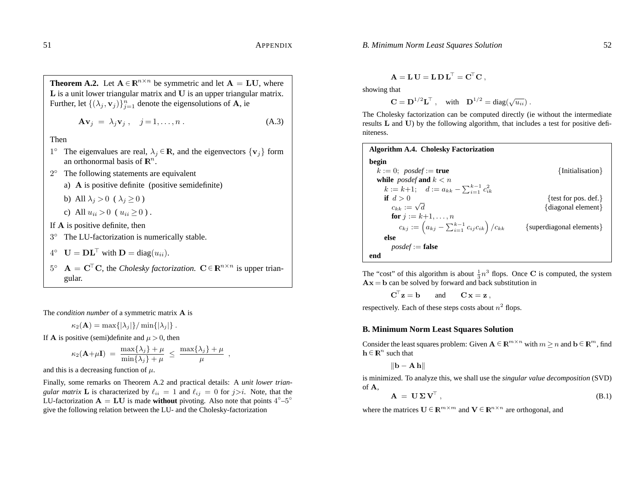**Theorem A.2.** Let 
$$
A \in \mathbb{R}^{n \times n}
$$
 be symmetric and let  $A = LU$ , where   
L is a unit lower triangular matrix and U is an upper triangular matrix.  
Further, let  $\{(\lambda_j, \mathbf{v}_j)\}_{j=1}^n$  denote the eigensolutions of A, ie

$$
\mathbf{A}\mathbf{v}_j = \lambda_j \mathbf{v}_j, \quad j = 1, \dots, n \tag{A.3}
$$

Then

- 1<sup>°</sup> The eigenvalues are real,  $\lambda_i \in \mathbb{R}$ , and the eigenvectors  $\{v_i\}$  form an orthonormal basis of  $\mathbb{R}^n$ .
- 2◦ The following statements are equivalent
	- a) **A** is positive definite (positive semidefinite)
	- b) All  $\lambda_i > 0$  (  $\lambda_i \ge 0$ )
	- c) All  $u_{ii} > 0$  ( $u_{ii} \ge 0$ ).
- If **A** is positive definite, then
- 3◦ The LU-factorization is numerically stable.
- $4^\circ$   $\mathbf{U} = \mathbf{D}\mathbf{L}^\top$  with  $\mathbf{D} = \text{diag}(u_{ii}).$
- $5^{\circ}$  **A** =  $\mathbf{C}^{\top}\mathbf{C}$ , the *Cholesky factorization.*  $\mathbf{C} \in \mathbb{R}^{n \times n}$  is upper triangular.

The *condition number* of <sup>a</sup> symmetric matrix **A** is

$$
\kappa_2(\mathbf{A}) = \max\{|\lambda_j|\}/\min\{|\lambda_j|\}.
$$

If **A** is positive (semi)definite and  $\mu > 0$ , then

$$
\kappa_2(\mathbf{A}+\mu\mathbf{I}) = \frac{\max\{\lambda_j\} + \mu}{\min\{\lambda_j\} + \mu} \leq \frac{\max\{\lambda_j\} + \mu}{\mu} ,
$$

and this is a decreasing function of  $\mu$ .

Finally, some remarks on Theorem A.2 and practical details: A *unit lower triangular matrix* **L** is characterized by  $\ell_{ii} = 1$  and  $\ell_{ij} = 0$  for  $j > i$ . Note, that the LU-factorization  $A = LU$  is made **without** pivoting. Also note that points  $4^{\circ} - 5^{\circ}$ give the following relation between the LU- and the Cholesky-factorization

$$
\mathbf{A} = \mathbf{L}\,\mathbf{U} = \mathbf{L}\,\mathbf{D}\,\mathbf{L}^{\top} = \mathbf{C}^{\top}\mathbf{C} \ ,
$$

showing that

 $C = D^{1/2}L^{T}$ , with  $D^{1/2} = diag(\sqrt{u_{ii}})$ .

The Cholesky factorization can be computed directly (ie without the intermediate results **L** and **U**) by the following algorithm, that includes <sup>a</sup> test for positive definiteness.

| <b>Algorithm A.4. Cholesky Factorization</b>                   |                          |
|----------------------------------------------------------------|--------------------------|
| begin                                                          |                          |
| $k := 0$ ; posdef := true                                      | {Initialisation}         |
| while <i>posdef</i> and $k < n$                                |                          |
| $k := k+1; \quad d := a_{kk} - \sum_{i=1}^{k-1} c_{ik}^2$      |                          |
| if $d > 0$                                                     | {test for pos. def.}     |
| $c_{kk} := \sqrt{d}$                                           | {diagonal element}       |
| <b>for</b> $i := k+1, , n$                                     |                          |
| $c_{kj} := (a_{kj} - \sum_{i=1}^{k-1} c_{ij} c_{ik}) / c_{kk}$ | {superdiagonal elements} |
| else                                                           |                          |
| $posdef := false$                                              |                          |
| end                                                            |                          |

The "cost" of this algorithm is about  $\frac{1}{3}n^3$  flops. Once **C** is computed, the system  $Ax = b$  can be solved by forward and back substitution in

> $\textbf{C}^{\top}\textbf{z} =$ and  $\mathbf{C} \mathbf{x} = \mathbf{z}$ .

respectively. Each of these steps costs about  $n^2$  flops.

### **B. Minimum Norm Least Squares Solution**

Consider the least squares problem: Given  $A \in \mathbb{R}^{m \times n}$  with  $m > n$  and  $b \in \mathbb{R}^m$ , find  $h \in \mathbb{R}^n$  such that

$$
\|\mathbf{b} - \mathbf{A}\,\mathbf{h}\|
$$

is minimized. To analyze this, we shall use the *singular value decomposition* (SVD) of **A**,

$$
\mathbf{A} = \mathbf{U} \Sigma \mathbf{V}^{\top}, \tag{B.1}
$$

where the matrices  $U \in \mathbb{R}^{m \times m}$  and  $V \in \mathbb{R}^{n \times n}$  are orthogonal, and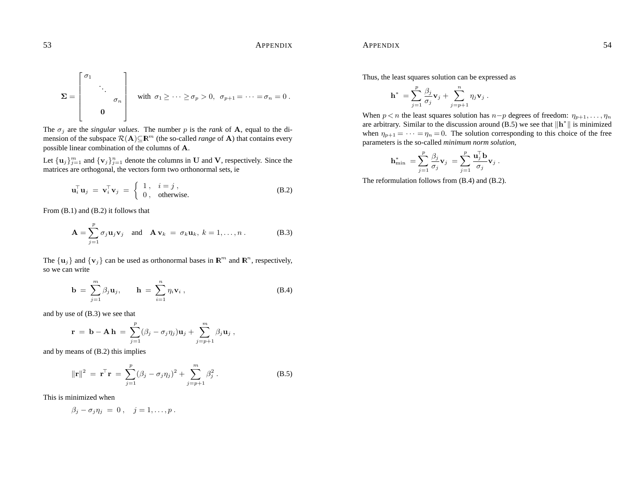53 APPENDIX

$$
\mathbf{\Sigma} = \begin{bmatrix} \sigma_1 & & \\ & \ddots & \\ & & \sigma_n \\ & & 0 \end{bmatrix} \quad \text{with} \ \sigma_1 \geq \cdots \geq \sigma_p > 0, \ \sigma_{p+1} = \cdots = \sigma_n = 0 \, .
$$

The *<sup>σ</sup><sup>j</sup>* are the *singular values*. The number *<sup>p</sup>* is the *rank* of **A**, equal to the dimension of the subspace  $\mathcal{R}(\mathbf{A})\subseteq \mathbb{R}^m$  (the so-called *range* of **A**) that contains every possible linear combination of the columns of **A**.

Let  ${\bf u}_j\}_{j=1}^m$  and  ${\bf v}_j\}_{j=1}^n$  denote the columns in **U** and **V**, respectively. Since the matrices are orthogonal, the vectors form two orthonormal sets, ie

$$
\mathbf{u}_i^{\top} \mathbf{u}_j = \mathbf{v}_i^{\top} \mathbf{v}_j = \begin{cases} 1, & i = j, \\ 0, & \text{otherwise.} \end{cases}
$$
 (B.2)

From (B.1) and (B.2) it follows that

*σ*1

 $\mathbb{R}$ 

$$
\mathbf{A} = \sum_{j=1}^{p} \sigma_j \mathbf{u}_j \mathbf{v}_j \quad \text{and} \quad \mathbf{A} \mathbf{v}_k = \sigma_k \mathbf{u}_k, \ k = 1, \dots, n \ . \tag{B.3}
$$

The  $\{u_j\}$  and  $\{v_j\}$  can be used as orthonormal bases in  $\mathbb{R}^m$  and  $\mathbb{R}^n$ , respectively, so we can write

$$
\mathbf{b} = \sum_{j=1}^{m} \beta_j \mathbf{u}_j, \qquad \mathbf{h} = \sum_{i=1}^{n} \eta_i \mathbf{v}_i, \qquad (B.4)
$$

and by use of (B.3) we see that

$$
\mathbf{r} = \mathbf{b} - \mathbf{A} \mathbf{h} = \sum_{j=1}^p (\beta_j - \sigma_j \eta_j) \mathbf{u}_j + \sum_{j=p+1}^m \beta_j \mathbf{u}_j,
$$

and by means of (B.2) this implies

$$
\|\mathbf{r}\|^2 = \mathbf{r}^\top \mathbf{r} = \sum_{j=1}^p (\beta_j - \sigma_j \eta_j)^2 + \sum_{j=p+1}^m \beta_j^2.
$$
 (B.5)

This is minimized when

$$
\beta_j-\sigma_j\eta_j\;=\;0\;,\quad j=1,\ldots,p\;.
$$

Thus, the least squares solution can be expressed as

$$
\mathbf{h}^* = \sum_{j=1}^p \frac{\beta_j}{\sigma_j} \mathbf{v}_j + \sum_{j=p+1}^n \eta_j \mathbf{v}_j.
$$

When  $p < n$  the least squares solution has  $n-p$  degrees of freedom:  $\eta_{p+1}, \ldots, \eta_n$ are arbitrary. Similar to the discussion around (B.5) we see that  $\|\mathbf{h}^*\|$  is minimized when  $\eta_{p+1} = \cdots = \eta_n = 0$ . The solution corresponding to this choice of the free parameters is the so-called *minimum norm solution,*

$$
\mathbf{h}_{\min}^* = \sum_{j=1}^p \frac{\beta_j}{\sigma_j} \mathbf{v}_j = \sum_{j=1}^p \frac{\mathbf{u}_j^{\mathsf{T}} \mathbf{b}}{\sigma_j} \mathbf{v}_j.
$$

The reformulation follows from (B.4) and (B.2).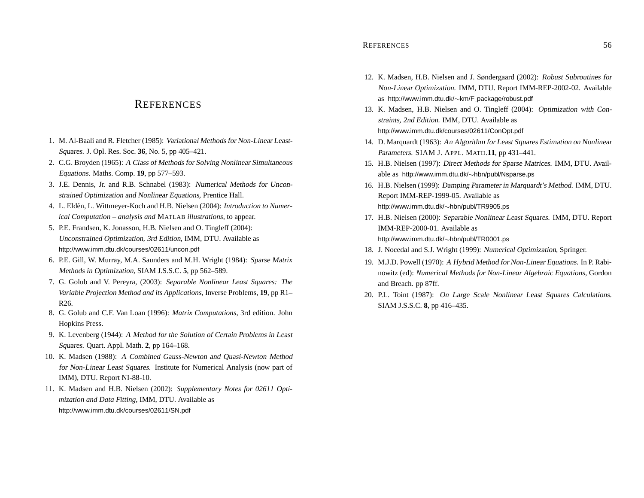# **REFERENCES**

- 1. M. Al-Baali and R. Fletcher (1985): Variational Methods for Non-Linear Least-Squares. J. Opl. Res. Soc. **36**, No. 5, pp 405–421.
- 2. C.G. Broyden (1965): A Class of Methods for Solving Nonlinear Simultaneous Equations. Maths. Comp. **19**, pp 577–593.
- 3. J.E. Dennis, Jr. and R.B. Schnabel (1983): Numerical Methods for Unconstrained Optimization and Nonlinear Equations, Prentice Hall.
- 4. L. Eldén, L. Wittmeyer-Koch and H.B. Nielsen (2004): Introduction to Numer*ical Computation – analysis and* MATLAB *illustrations*, to appear.
- 5. P.E. Frandsen, K. Jonasson, H.B. Nielsen and O. Tingleff (2004): Unconstrained Optimization, 3rd Edition, IMM, DTU. Available as http://www.imm.dtu.dk/courses/02611/uncon.pdf
- 6. P.E. Gill, W. Murray, M.A. Saunders and M.H. Wright (1984): Sparse Matrix Methods in Optimization, SIAM J.S.S.C. **5**, pp 562–589.
- 7. G. Golub and V. Pereyra, (2003): *Separable Nonlinear Least Squares: The Variable Projection Method and its Applications*, Inverse Problems, **19**, pp R1– R26.
- 8. G. Golub and C.F. Van Loan (1996): *Matrix Computations*, 3rd edition. John Hopkins Press.
- 9. K. Levenberg (1944): A Method for the Solution of Certain Problems in Least Squares. Quart. Appl. Math. **2**, pp 164–168.
- 10. K. Madsen (1988): A Combined Gauss-Newton and Quasi-Newton Method for Non-Linear Least Squares. Institute for Numerical Analysis (now par<sup>t</sup> of IMM), DTU. Report NI-88-10.
- 11. K. Madsen and H.B. Nielsen (2002): *Supplementary Notes for 02611 Optimization and Data Fitting*, IMM, DTU. Available as http://www.imm.dtu.dk/courses/02611/SN.pdf
- 12. K. Madsen, H.B. Nielsen and J. Søndergaard (2002): Robust Subroutines for Non-Linear Optimization. IMM, DTU. Report IMM-REP-2002-02. Available as http://www.imm.dtu.dk/∼km/F package/robust.pdf
- 13. K. Madsen, H.B. Nielsen and O. Tingleff (2004): Optimization with Constraints, 2nd Edition. IMM, DTU. Available as http://www.imm.dtu.dk/courses/02611/ConOpt.pdf
- 14. D. Marquardt (1963): An Algorithm for Least Squares Estimation on Nonlinear Parameters. SIAM J. APPL. MATH.**11**, pp 431–441.
- 15. H.B. Nielsen (1997): Direct Methods for Sparse Matrices. IMM, DTU. Available as http://www.imm.dtu.dk/∼hbn/publ/Nsparse.ps
- 16. H.B. Nielsen (1999): Damping Parameter in Marquardt's Method. IMM, DTU. Report IMM-REP-1999-05. Available as http://www.imm.dtu.dk/∼hbn/publ/TR9905.ps
- 17. H.B. Nielsen (2000): Separable Nonlinear Least Squares. IMM, DTU. Report IMM-REP-2000-01. Available as http://www.imm.dtu.dk/∼hbn/publ/TR0001.ps
- 18. J. Nocedal and S.J. Wright (1999): Numerical Optimization, Springer.
- 19. M.J.D. Powell (1970): A Hybrid Method for Non-Linear Equations. In P. Rabinowitz (ed): *Numerical Methods for Non-Linear Algebraic Equations*, Gordon and Breach. pp 87ff.
- 20. P.L. Toint (1987): On Large Scale Nonlinear Least Squares Calculations. SIAM J.S.S.C. **8**, pp 416–435.